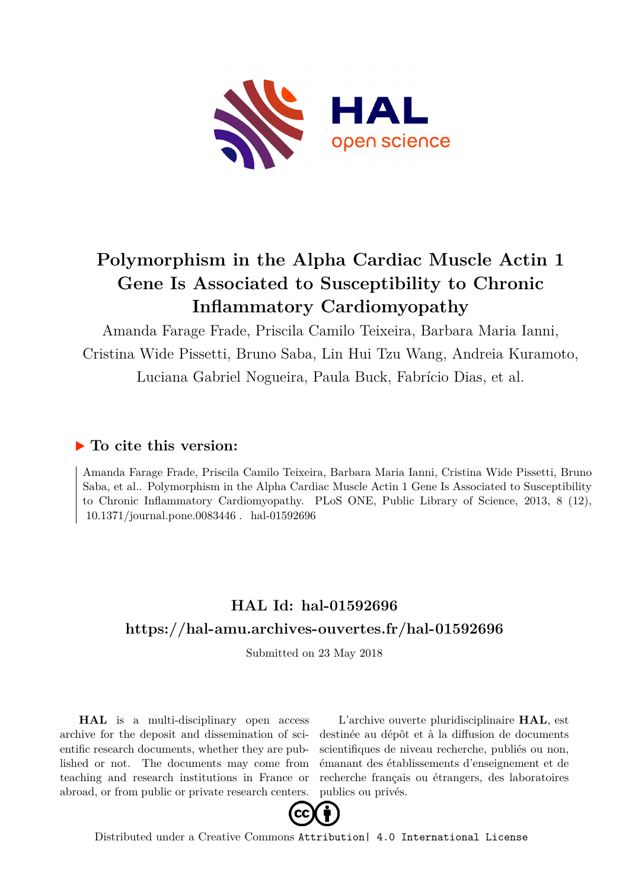

# **Polymorphism in the Alpha Cardiac Muscle Actin 1 Gene Is Associated to Susceptibility to Chronic Inflammatory Cardiomyopathy**

Amanda Farage Frade, Priscila Camilo Teixeira, Barbara Maria Ianni, Cristina Wide Pissetti, Bruno Saba, Lin Hui Tzu Wang, Andreia Kuramoto, Luciana Gabriel Nogueira, Paula Buck, Fabrício Dias, et al.

### **To cite this version:**

Amanda Farage Frade, Priscila Camilo Teixeira, Barbara Maria Ianni, Cristina Wide Pissetti, Bruno Saba, et al.. Polymorphism in the Alpha Cardiac Muscle Actin 1 Gene Is Associated to Susceptibility to Chronic Inflammatory Cardiomyopathy. PLoS ONE, Public Library of Science, 2013, 8 (12),  $10.1371$ /journal.pone.0083446. hal-01592696

## **HAL Id: hal-01592696 <https://hal-amu.archives-ouvertes.fr/hal-01592696>**

Submitted on 23 May 2018

**HAL** is a multi-disciplinary open access archive for the deposit and dissemination of scientific research documents, whether they are published or not. The documents may come from teaching and research institutions in France or abroad, or from public or private research centers.

L'archive ouverte pluridisciplinaire **HAL**, est destinée au dépôt et à la diffusion de documents scientifiques de niveau recherche, publiés ou non, émanant des établissements d'enseignement et de recherche français ou étrangers, des laboratoires publics ou privés.



Distributed under a Creative Commons [Attribution| 4.0 International License](http://creativecommons.org/licenses/by/4.0/)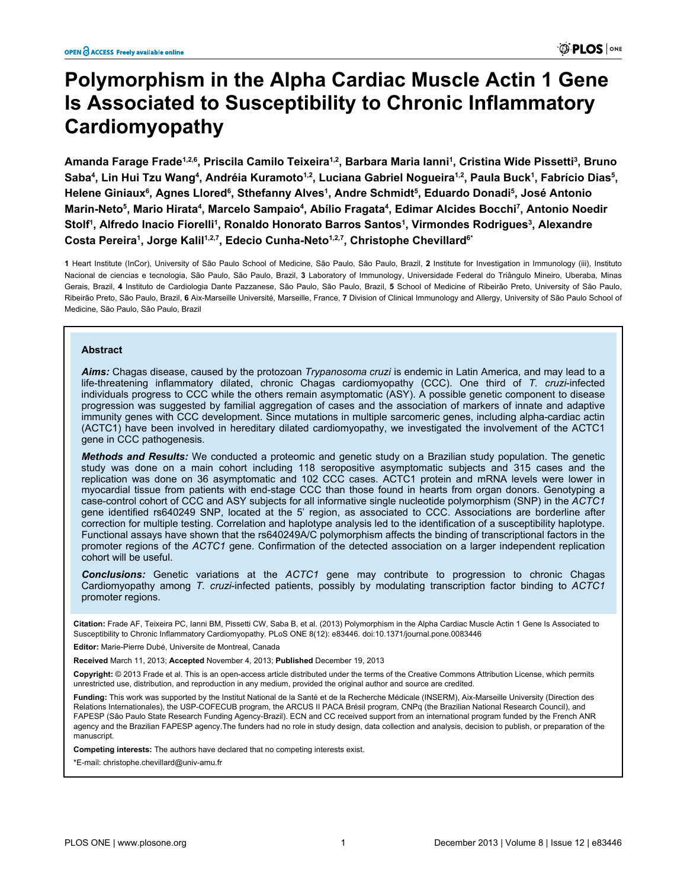# **Polymorphism in the Alpha Cardiac Muscle Actin 1 Gene Is Associated to Susceptibility to Chronic Inflammatory Cardiomyopathy**

**Amanda Farage Frade1,2,6, Priscila Camilo Teixeira1,2, Barbara Maria Ianni1 , Cristina Wide Pissetti3 , Bruno Saba4 , Lin Hui Tzu Wang4 , Andréia Kuramoto1,2, Luciana Gabriel Nogueira1,2, Paula Buck1 , Fabrício Dias5 , Helene Giniaux6 , Agnes Llored6 , Sthefanny Alves1 , Andre Schmidt5 , Eduardo Donadi5 , José Antonio Marin-Neto5 , Mario Hirata4 , Marcelo Sampaio4 , Abílio Fragata4 , Edimar Alcides Bocchi7 , Antonio Noedir Stolf1 , Alfredo Inacio Fiorelli1 , Ronaldo Honorato Barros Santos1 , Virmondes Rodrigues3 , Alexandre Costa Pereira1 , Jorge Kalil1,2,7, Edecio Cunha-Neto1,2,7, Christophe Chevillard6\***

**1** Heart Institute (InCor), University of São Paulo School of Medicine, São Paulo, São Paulo, Brazil, **2** Institute for Investigation in Immunology (iii), Instituto Nacional de ciencias e tecnologia, São Paulo, São Paulo, Brazil, **3** Laboratory of Immunology, Universidade Federal do Triângulo Mineiro, Uberaba, Minas Gerais, Brazil, **4** Instituto de Cardiologia Dante Pazzanese, São Paulo, São Paulo, Brazil, **5** School of Medicine of Ribeirão Preto, University of São Paulo, Ribeirão Preto, São Paulo, Brazil, **6** Aix-Marseille Université, Marseille, France, **7** Division of Clinical Immunology and Allergy, University of São Paulo School of Medicine, São Paulo, São Paulo, Brazil

#### **Abstract**

*Aims:* Chagas disease, caused by the protozoan *Trypanosoma cruzi* is endemic in Latin America, and may lead to a life-threatening inflammatory dilated, chronic Chagas cardiomyopathy (CCC). One third of *T. cruzi*-infected individuals progress to CCC while the others remain asymptomatic (ASY). A possible genetic component to disease progression was suggested by familial aggregation of cases and the association of markers of innate and adaptive immunity genes with CCC development. Since mutations in multiple sarcomeric genes, including alpha-cardiac actin (ACTC1) have been involved in hereditary dilated cardiomyopathy, we investigated the involvement of the ACTC1 gene in CCC pathogenesis.

*Methods and Results:* We conducted a proteomic and genetic study on a Brazilian study population. The genetic study was done on a main cohort including 118 seropositive asymptomatic subjects and 315 cases and the replication was done on 36 asymptomatic and 102 CCC cases. ACTC1 protein and mRNA levels were lower in myocardial tissue from patients with end-stage CCC than those found in hearts from organ donors. Genotyping a case-control cohort of CCC and ASY subjects for all informative single nucleotide polymorphism (SNP) in the *ACTC1* gene identified rs640249 SNP, located at the 5' region, as associated to CCC. Associations are borderline after correction for multiple testing. Correlation and haplotype analysis led to the identification of a susceptibility haplotype. Functional assays have shown that the rs640249A/C polymorphism affects the binding of transcriptional factors in the promoter regions of the *ACTC1* gene. Confirmation of the detected association on a larger independent replication cohort will be useful.

*Conclusions:* Genetic variations at the *ACTC1* gene may contribute to progression to chronic Chagas Cardiomyopathy among *T. cruzi*-infected patients, possibly by modulating transcription factor binding to *ACTC1* promoter regions.

**Citation:** Frade AF, Teixeira PC, Ianni BM, Pissetti CW, Saba B, et al. (2013) Polymorphism in the Alpha Cardiac Muscle Actin 1 Gene Is Associated to Susceptibility to Chronic Inflammatory Cardiomyopathy. PLoS ONE 8(12): e83446. doi:10.1371/journal.pone.0083446

**Editor:** Marie-Pierre Dubé, Universite de Montreal, Canada

**Received** March 11, 2013; **Accepted** November 4, 2013; **Published** December 19, 2013

**Copyright:** © 2013 Frade et al. This is an open-access article distributed under the terms of the [Creative Commons Attribution License](http://creativecommons.org/licenses/by/4.0/), which permits unrestricted use, distribution, and reproduction in any medium, provided the original author and source are credited.

**Funding:** This work was supported by the Institut National de la Santé et de la Recherche Médicale (INSERM), Aix-Marseille University (Direction des Relations Internationales), the USP-COFECUB program, the ARCUS II PACA Brésil program, CNPq (the Brazilian National Research Council), and FAPESP (São Paulo State Research Funding Agency-Brazil). ECN and CC received support from an international program funded by the French ANR agency and the Brazilian FAPESP agency.The funders had no role in study design, data collection and analysis, decision to publish, or preparation of the manuscript.

**Competing interests:** The authors have declared that no competing interests exist.

\*E-mail: christophe.chevillard@univ-amu.fr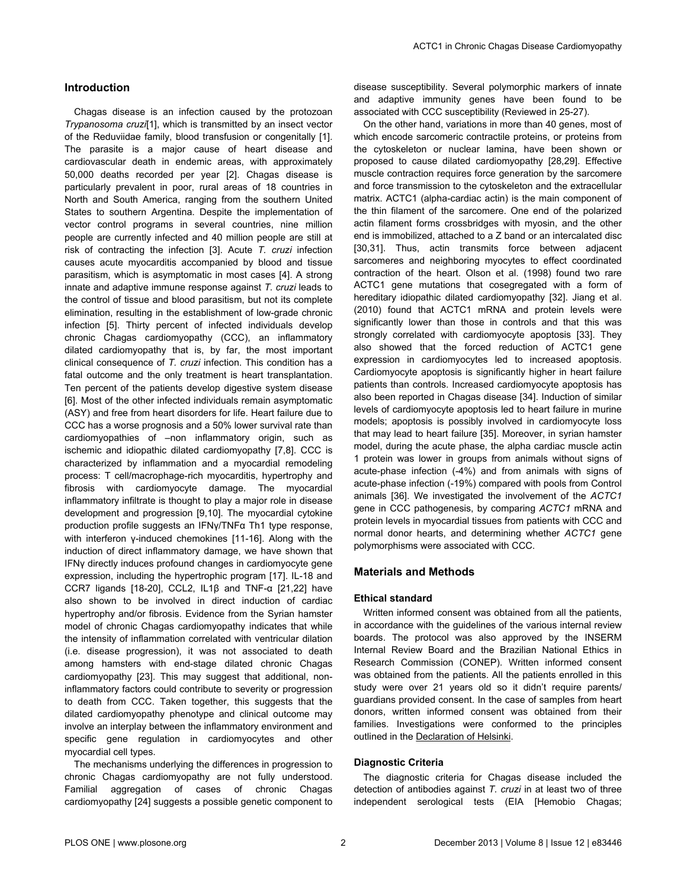#### **Introduction**

Chagas disease is an infection caused by the protozoan *Trypanosoma cruzi*[1], which is transmitted by an insect vector of the Reduviidae family, blood transfusion or congenitally [1]. The parasite is a major cause of heart disease and cardiovascular death in endemic areas, with approximately 50,000 deaths recorded per year [2]. Chagas disease is particularly prevalent in poor, rural areas of 18 countries in North and South America, ranging from the southern United States to southern Argentina. Despite the implementation of vector control programs in several countries, nine million people are currently infected and 40 million people are still at risk of contracting the infection [3]. Acute *T. cruzi* infection causes acute myocarditis accompanied by blood and tissue parasitism, which is asymptomatic in most cases [4]. A strong innate and adaptive immune response against *T. cruzi* leads to the control of tissue and blood parasitism, but not its complete elimination, resulting in the establishment of low-grade chronic infection [5]. Thirty percent of infected individuals develop chronic Chagas cardiomyopathy (CCC), an inflammatory dilated cardiomyopathy that is, by far, the most important clinical consequence of *T. cruzi* infection. This condition has a fatal outcome and the only treatment is heart transplantation. Ten percent of the patients develop digestive system disease [6]. Most of the other infected individuals remain asymptomatic (ASY) and free from heart disorders for life. Heart failure due to CCC has a worse prognosis and a 50% lower survival rate than cardiomyopathies of –non inflammatory origin, such as ischemic and idiopathic dilated cardiomyopathy [7,8]. CCC is characterized by inflammation and a myocardial remodeling process: T cell/macrophage-rich myocarditis, hypertrophy and fibrosis with cardiomyocyte damage. The myocardial inflammatory infiltrate is thought to play a major role in disease development and progression [9,10]. The myocardial cytokine production profile suggests an IFNγ/TNFα Th1 type response, with interferon γ-induced chemokines [11-16]. Along with the induction of direct inflammatory damage, we have shown that IFNγ directly induces profound changes in cardiomyocyte gene expression, including the hypertrophic program [17]. IL-18 and CCR7 ligands [18-20], CCL2, IL1β and TNF-α [21,22] have also shown to be involved in direct induction of cardiac hypertrophy and/or fibrosis. Evidence from the Syrian hamster model of chronic Chagas cardiomyopathy indicates that while the intensity of inflammation correlated with ventricular dilation (i.e. disease progression), it was not associated to death among hamsters with end-stage dilated chronic Chagas cardiomyopathy [23]. This may suggest that additional, noninflammatory factors could contribute to severity or progression to death from CCC. Taken together, this suggests that the dilated cardiomyopathy phenotype and clinical outcome may involve an interplay between the inflammatory environment and specific gene regulation in cardiomyocytes and other myocardial cell types.

The mechanisms underlying the differences in progression to chronic Chagas cardiomyopathy are not fully understood. Familial aggregation of cases of chronic Chagas cardiomyopathy [24] suggests a possible genetic component to

disease susceptibility. Several polymorphic markers of innate and adaptive immunity genes have been found to be associated with CCC susceptibility (Reviewed in 25-27).

On the other hand, variations in more than 40 genes, most of which encode sarcomeric contractile proteins, or proteins from the cytoskeleton or nuclear lamina, have been shown or proposed to cause dilated cardiomyopathy [28,29]. Effective muscle contraction requires force generation by the sarcomere and force transmission to the cytoskeleton and the extracellular matrix. ACTC1 (alpha-cardiac actin) is the main component of the thin filament of the sarcomere. One end of the polarized actin filament forms crossbridges with myosin, and the other end is immobilized, attached to a Z band or an intercalated disc [30,31]. Thus, actin transmits force between adjacent sarcomeres and neighboring myocytes to effect coordinated contraction of the heart. Olson et al. (1998) found two rare ACTC1 gene mutations that cosegregated with a form of hereditary idiopathic dilated cardiomyopathy [32]. Jiang et al. (2010) found that ACTC1 mRNA and protein levels were significantly lower than those in controls and that this was strongly correlated with cardiomyocyte apoptosis [33]. They also showed that the forced reduction of ACTC1 gene expression in cardiomyocytes led to increased apoptosis. Cardiomyocyte apoptosis is significantly higher in heart failure patients than controls. Increased cardiomyocyte apoptosis has also been reported in Chagas disease [34]. Induction of similar levels of cardiomyocyte apoptosis led to heart failure in murine models; apoptosis is possibly involved in cardiomyocyte loss that may lead to heart failure [35]. Moreover, in syrian hamster model, during the acute phase, the alpha cardiac muscle actin 1 protein was lower in groups from animals without signs of acute-phase infection (-4%) and from animals with signs of acute-phase infection (-19%) compared with pools from Control animals [36]. We investigated the involvement of the *ACTC1* gene in CCC pathogenesis, by comparing *ACTC1* mRNA and protein levels in myocardial tissues from patients with CCC and normal donor hearts, and determining whether *ACTC1* gene polymorphisms were associated with CCC.

#### **Materials and Methods**

#### **Ethical standard**

Written informed consent was obtained from all the patients, in accordance with the guidelines of the various internal review boards. The protocol was also approved by the INSERM Internal Review Board and the Brazilian National Ethics in Research Commission (CONEP). Written informed consent was obtained from the patients. All the patients enrolled in this study were over 21 years old so it didn't require parents/ guardians provided consent. In the case of samples from heart donors, written informed consent was obtained from their families. Investigations were conformed to the principles outlined in the [Declaration of Helsinki](http://www.wma.net/en/30publications/10policies/b3/index.html).

#### **Diagnostic Criteria**

The diagnostic criteria for Chagas disease included the detection of antibodies against *T. cruzi* in at least two of three independent serological tests (EIA [Hemobio Chagas;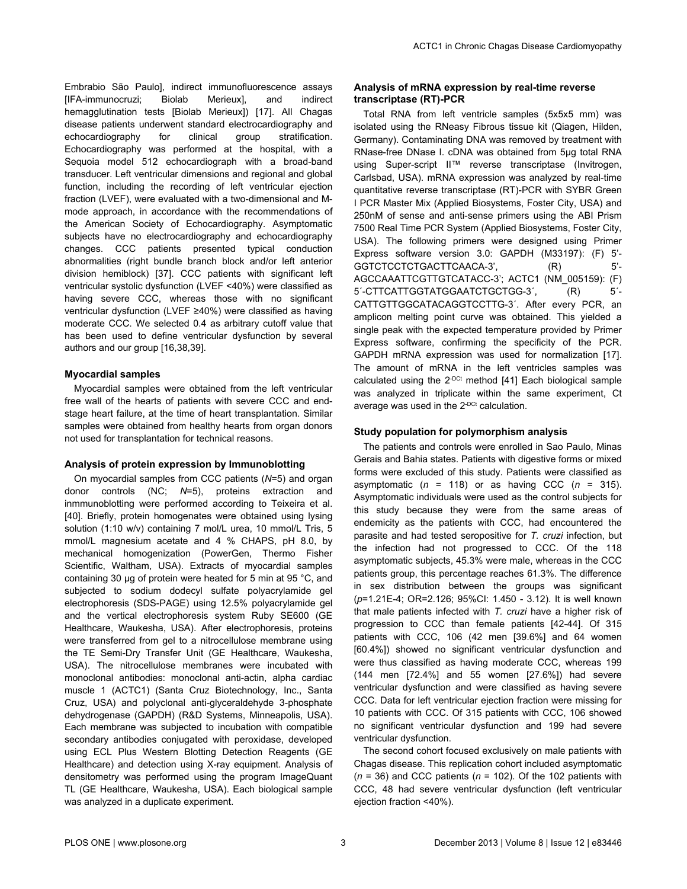Embrabio São Paulo], indirect immunofluorescence assays [IFA-immunocruzi; Biolab Merieux], and indirect hemagglutination tests [Biolab Merieux]) [17]. All Chagas disease patients underwent standard electrocardiography and echocardiography for clinical group stratification. Echocardiography was performed at the hospital, with a Sequoia model 512 echocardiograph with a broad-band transducer. Left ventricular dimensions and regional and global function, including the recording of left ventricular ejection fraction (LVEF), were evaluated with a two-dimensional and Mmode approach, in accordance with the recommendations of the American Society of Echocardiography. Asymptomatic subjects have no electrocardiography and echocardiography changes. CCC patients presented typical conduction abnormalities (right bundle branch block and/or left anterior division hemiblock) [37]. CCC patients with significant left ventricular systolic dysfunction (LVEF <40%) were classified as having severe CCC, whereas those with no significant ventricular dysfunction (LVEF ≥40%) were classified as having moderate CCC. We selected 0.4 as arbitrary cutoff value that has been used to define ventricular dysfunction by several authors and our group [16,38,39].

#### **Myocardial samples**

Myocardial samples were obtained from the left ventricular free wall of the hearts of patients with severe CCC and endstage heart failure, at the time of heart transplantation. Similar samples were obtained from healthy hearts from organ donors not used for transplantation for technical reasons.

#### **Analysis of protein expression by Immunoblotting**

On myocardial samples from CCC patients (*N*=5) and organ donor controls (NC; *N*=5), proteins extraction and inmmunoblotting were performed according to Teixeira et al. [40]. Briefly, protein homogenates were obtained using lysing solution (1:10 w/v) containing 7 mol/L urea, 10 mmol/L Tris, 5 mmol/L magnesium acetate and 4 % CHAPS, pH 8.0, by mechanical homogenization (PowerGen, Thermo Fisher Scientific, Waltham, USA). Extracts of myocardial samples containing 30 μg of protein were heated for 5 min at 95 °C, and subjected to sodium dodecyl sulfate polyacrylamide gel electrophoresis (SDS-PAGE) using 12.5% polyacrylamide gel and the vertical electrophoresis system Ruby SE600 (GE Healthcare, Waukesha, USA). After electrophoresis, proteins were transferred from gel to a nitrocellulose membrane using the TE Semi-Dry Transfer Unit (GE Healthcare, Waukesha, USA). The nitrocellulose membranes were incubated with monoclonal antibodies: monoclonal anti-actin, alpha cardiac muscle 1 (ACTC1) (Santa Cruz Biotechnology, Inc., Santa Cruz, USA) and polyclonal anti-glyceraldehyde 3-phosphate dehydrogenase (GAPDH) (R&D Systems, Minneapolis, USA). Each membrane was subjected to incubation with compatible secondary antibodies conjugated with peroxidase, developed using ECL Plus Western Blotting Detection Reagents (GE Healthcare) and detection using X-ray equipment. Analysis of densitometry was performed using the program ImageQuant TL (GE Healthcare, Waukesha, USA). Each biological sample was analyzed in a duplicate experiment.

#### **Analysis of mRNA expression by real-time reverse transcriptase (RT)-PCR**

Total RNA from left ventricle samples (5x5x5 mm) was isolated using the RNeasy Fibrous tissue kit (Qiagen, Hilden, Germany). Contaminating DNA was removed by treatment with RNase-free DNase I. cDNA was obtained from 5μg total RNA using Super-script II™ reverse transcriptase (Invitrogen, Carlsbad, USA). mRNA expression was analyzed by real-time quantitative reverse transcriptase (RT)-PCR with SYBR Green I PCR Master Mix (Applied Biosystems, Foster City, USA) and 250nM of sense and anti-sense primers using the ABI Prism 7500 Real Time PCR System (Applied Biosystems, Foster City, USA). The following primers were designed using Primer Express software version 3.0: GAPDH (M33197): (F) 5'- GGTCTCCTCTGACTTCAACA-3', (R) 5'-AGCCAAATTCGTTGTCATACC-3'; ACTC1 (NM\_005159): (F) 5´-CTTCATTGGTATGGAATCTGCTGG-3´, (R) 5´- CATTGTTGGCATACAGGTCCTTG-3´. After every PCR, an amplicon melting point curve was obtained. This yielded a single peak with the expected temperature provided by Primer Express software, confirming the specificity of the PCR. GAPDH mRNA expression was used for normalization [17]. The amount of mRNA in the left ventricles samples was calculated using the  $2^{-DCt}$  method [41] Each biological sample was analyzed in triplicate within the same experiment, Ct average was used in the 2-DCt calculation.

#### **Study population for polymorphism analysis**

The patients and controls were enrolled in Sao Paulo, Minas Gerais and Bahia states. Patients with digestive forms or mixed forms were excluded of this study. Patients were classified as asymptomatic  $(n = 118)$  or as having CCC  $(n = 315)$ . Asymptomatic individuals were used as the control subjects for this study because they were from the same areas of endemicity as the patients with CCC, had encountered the parasite and had tested seropositive for *T. cruzi* infection, but the infection had not progressed to CCC. Of the 118 asymptomatic subjects, 45.3% were male, whereas in the CCC patients group, this percentage reaches 61.3%. The difference in sex distribution between the groups was significant (*p*=1.21E-4; OR=2.126; 95%CI: 1.450 - 3.12). It is well known that male patients infected with *T. cruzi* have a higher risk of progression to CCC than female patients [42-44]. Of 315 patients with CCC, 106 (42 men [39.6%] and 64 women [60.4%]) showed no significant ventricular dysfunction and were thus classified as having moderate CCC, whereas 199 (144 men [72.4%] and 55 women [27.6%]) had severe ventricular dysfunction and were classified as having severe CCC. Data for left ventricular ejection fraction were missing for 10 patients with CCC. Of 315 patients with CCC, 106 showed no significant ventricular dysfunction and 199 had severe ventricular dysfunction.

The second cohort focused exclusively on male patients with Chagas disease. This replication cohort included asymptomatic  $(n = 36)$  and CCC patients  $(n = 102)$ . Of the 102 patients with CCC, 48 had severe ventricular dysfunction (left ventricular ejection fraction <40%).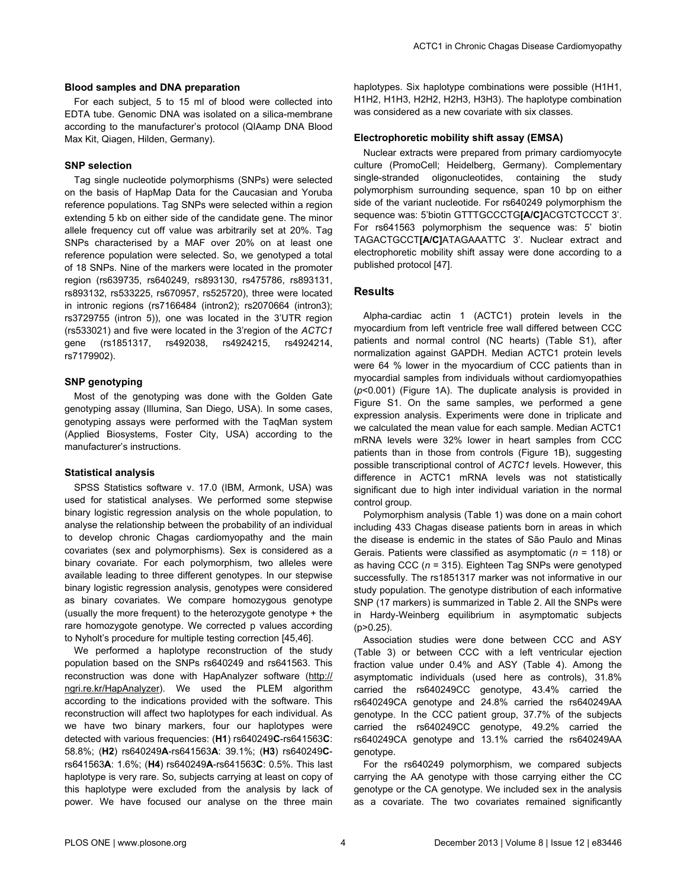#### **Blood samples and DNA preparation**

For each subject, 5 to 15 ml of blood were collected into EDTA tube. Genomic DNA was isolated on a silica-membrane according to the manufacturer's protocol (QIAamp DNA Blood Max Kit, Qiagen, Hilden, Germany).

#### **SNP selection**

Tag single nucleotide polymorphisms (SNPs) were selected on the basis of HapMap Data for the Caucasian and Yoruba reference populations. Tag SNPs were selected within a region extending 5 kb on either side of the candidate gene. The minor allele frequency cut off value was arbitrarily set at 20%. Tag SNPs characterised by a MAF over 20% on at least one reference population were selected. So, we genotyped a total of 18 SNPs. Nine of the markers were located in the promoter region (rs639735, rs640249, rs893130, rs475786, rs893131, rs893132, rs533225, rs670957, rs525720), three were located in intronic regions (rs7166484 (intron2); rs2070664 (intron3); rs3729755 (intron 5)), one was located in the 3'UTR region (rs533021) and five were located in the 3'region of the *ACTC1* gene (rs1851317, rs492038, rs4924215, rs4924214, rs7179902).

#### **SNP genotyping**

Most of the genotyping was done with the Golden Gate genotyping assay (Illumina, San Diego, USA). In some cases, genotyping assays were performed with the TaqMan system (Applied Biosystems, Foster City, USA) according to the manufacturer's instructions.

#### **Statistical analysis**

SPSS Statistics software v. 17.0 (IBM, Armonk, USA) was used for statistical analyses. We performed some stepwise binary logistic regression analysis on the whole population, to analyse the relationship between the probability of an individual to develop chronic Chagas cardiomyopathy and the main covariates (sex and polymorphisms). Sex is considered as a binary covariate. For each polymorphism, two alleles were available leading to three different genotypes. In our stepwise binary logistic regression analysis, genotypes were considered as binary covariates. We compare homozygous genotype (usually the more frequent) to the heterozygote genotype + the rare homozygote genotype. We corrected p values according to Nyholt's procedure for multiple testing correction [45,46].

We performed a haplotype reconstruction of the study population based on the SNPs rs640249 and rs641563. This reconstruction was done with HapAnalyzer software (http:// ngri.re.kr/HapAnalyzer). We used the PLEM algorithm according to the indications provided with the software. This reconstruction will affect two haplotypes for each individual. As we have two binary markers, four our haplotypes were detected with various frequencies: (**H1**) rs640249**C**-rs641563**C**: 58.8%; (**H2**) rs640249**A**-rs641563**A**: 39.1%; (**H3**) rs640249**C**rs641563**A**: 1.6%; (**H4**) rs640249**A**-rs641563**C**: 0.5%. This last haplotype is very rare. So, subjects carrying at least on copy of this haplotype were excluded from the analysis by lack of power. We have focused our analyse on the three main

haplotypes. Six haplotype combinations were possible (H1H1, H1H2, H1H3, H2H2, H2H3, H3H3). The haplotype combination was considered as a new covariate with six classes.

#### **Electrophoretic mobility shift assay (EMSA)**

Nuclear extracts were prepared from primary cardiomyocyte culture (PromoCell; Heidelberg, Germany). Complementary single-stranded oligonucleotides, containing the study polymorphism surrounding sequence, span 10 bp on either side of the variant nucleotide. For rs640249 polymorphism the sequence was: 5'biotin GTTTGCCCTG**[A/C]**ACGTCTCCCT 3'. For rs641563 polymorphism the sequence was: 5' biotin TAGACTGCCT**[A/C]**ATAGAAATTC 3'. Nuclear extract and electrophoretic mobility shift assay were done according to a published protocol [47].

#### **Results**

Alpha-cardiac actin 1 (ACTC1) protein levels in the myocardium from left ventricle free wall differed between CCC patients and normal control (NC hearts) (Table S1), after normalization against GAPDH. Median ACTC1 protein levels were 64 % lower in the myocardium of CCC patients than in myocardial samples from individuals without cardiomyopathies (*p*<0.001) (Figure 1A). The duplicate analysis is provided in Figure S1. On the same samples, we performed a gene expression analysis. Experiments were done in triplicate and we calculated the mean value for each sample. Median ACTC1 mRNA levels were 32% lower in heart samples from CCC patients than in those from controls (Figure 1B), suggesting possible transcriptional control of *ACTC1* levels. However, this difference in ACTC1 mRNA levels was not statistically significant due to high inter individual variation in the normal control group.

Polymorphism analysis (Table 1) was done on a main cohort including 433 Chagas disease patients born in areas in which the disease is endemic in the states of São Paulo and Minas Gerais. Patients were classified as asymptomatic (*n* = 118) or as having CCC (*n* = 315). Eighteen Tag SNPs were genotyped successfully. The rs1851317 marker was not informative in our study population. The genotype distribution of each informative SNP (17 markers) is summarized in Table 2. All the SNPs were in Hardy-Weinberg equilibrium in asymptomatic subjects (p>0.25).

Association studies were done between CCC and ASY (Table 3) or between CCC with a left ventricular ejection fraction value under 0.4% and ASY (Table 4). Among the asymptomatic individuals (used here as controls), 31.8% carried the rs640249CC genotype, 43.4% carried the rs640249CA genotype and 24.8% carried the rs640249AA genotype. In the CCC patient group, 37.7% of the subjects carried the rs640249CC genotype, 49.2% carried the rs640249CA genotype and 13.1% carried the rs640249AA genotype.

For the rs640249 polymorphism, we compared subjects carrying the AA genotype with those carrying either the CC genotype or the CA genotype. We included sex in the analysis as a covariate. The two covariates remained significantly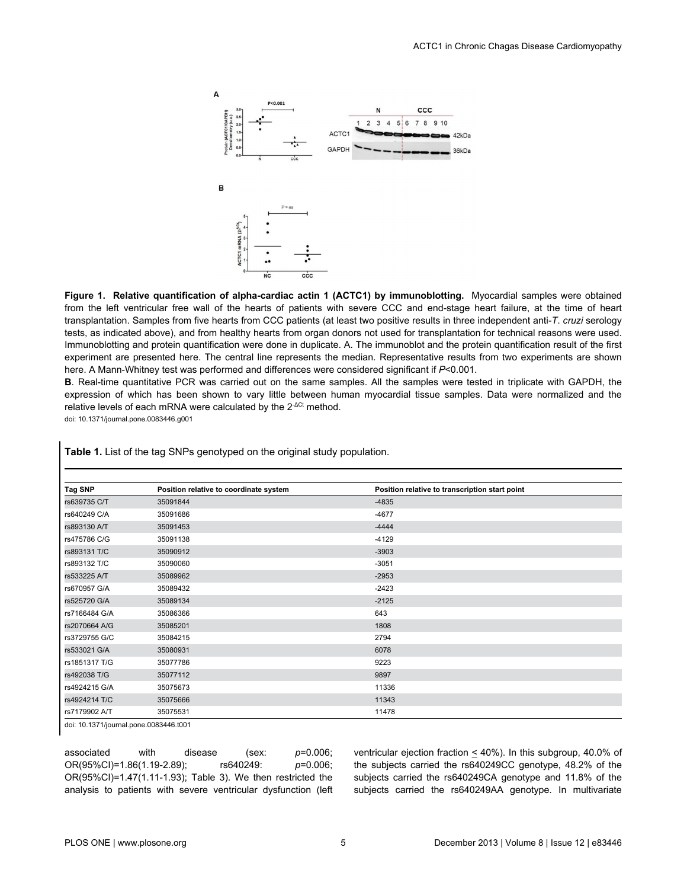

**Figure 1. Relative quantification of alpha-cardiac actin 1 (ACTC1) by immunoblotting.** Myocardial samples were obtained from the left ventricular free wall of the hearts of patients with severe CCC and end-stage heart failure, at the time of heart transplantation. Samples from five hearts from CCC patients (at least two positive results in three independent anti-*T*. *cruzi* serology tests, as indicated above), and from healthy hearts from organ donors not used for transplantation for technical reasons were used. Immunoblotting and protein quantification were done in duplicate. A. The immunoblot and the protein quantification result of the first experiment are presented here. The central line represents the median. Representative results from two experiments are shown here. A Mann-Whitney test was performed and differences were considered significant if *P*<0.001.

**B**. Real-time quantitative PCR was carried out on the same samples. All the samples were tested in triplicate with GAPDH, the expression of which has been shown to vary little between human myocardial tissue samples. Data were normalized and the relative levels of each mRNA were calculated by the 2<sup>-ΔCt</sup> method.

doi: 10.1371/journal.pone.0083446.g001

| <b>Tag SNP</b> | Position relative to coordinate system | Position relative to transcription start point |  |
|----------------|----------------------------------------|------------------------------------------------|--|
| rs639735 C/T   | 35091844                               | $-4835$                                        |  |
| rs640249 C/A   | 35091686                               | $-4677$                                        |  |
| rs893130 A/T   | 35091453                               | $-4444$                                        |  |
| rs475786 C/G   | 35091138                               | $-4129$                                        |  |
| rs893131 T/C   | 35090912                               | $-3903$                                        |  |
| rs893132 T/C   | 35090060                               | $-3051$                                        |  |
| rs533225 A/T   | 35089962                               | $-2953$                                        |  |
| rs670957 G/A   | 35089432                               | $-2423$                                        |  |
| rs525720 G/A   | 35089134                               | $-2125$                                        |  |
| rs7166484 G/A  | 35086366                               | 643                                            |  |
| rs2070664 A/G  | 35085201                               | 1808                                           |  |
| rs3729755 G/C  | 35084215                               | 2794                                           |  |
| rs533021 G/A   | 35080931                               | 6078                                           |  |
| rs1851317 T/G  | 35077786                               | 9223                                           |  |
| rs492038 T/G   | 35077112                               | 9897                                           |  |
| rs4924215 G/A  | 35075673                               | 11336                                          |  |
| rs4924214 T/C  | 35075666                               | 11343                                          |  |
| rs7179902 A/T  | 35075531                               | 11478                                          |  |

**Table 1.** List of the tag SNPs genotyped on the original study population.

doi: 10.1371/journal.pone.0083446.t001

associated with disease (sex: *p*=0.006; OR(95%CI)=1.86(1.19-2.89); rs640249: *p*=0.006; OR(95%CI)=1.47(1.11-1.93); Table 3). We then restricted the analysis to patients with severe ventricular dysfunction (left

ventricular ejection fraction < 40%). In this subgroup, 40.0% of the subjects carried the rs640249CC genotype, 48.2% of the subjects carried the rs640249CA genotype and 11.8% of the subjects carried the rs640249AA genotype. In multivariate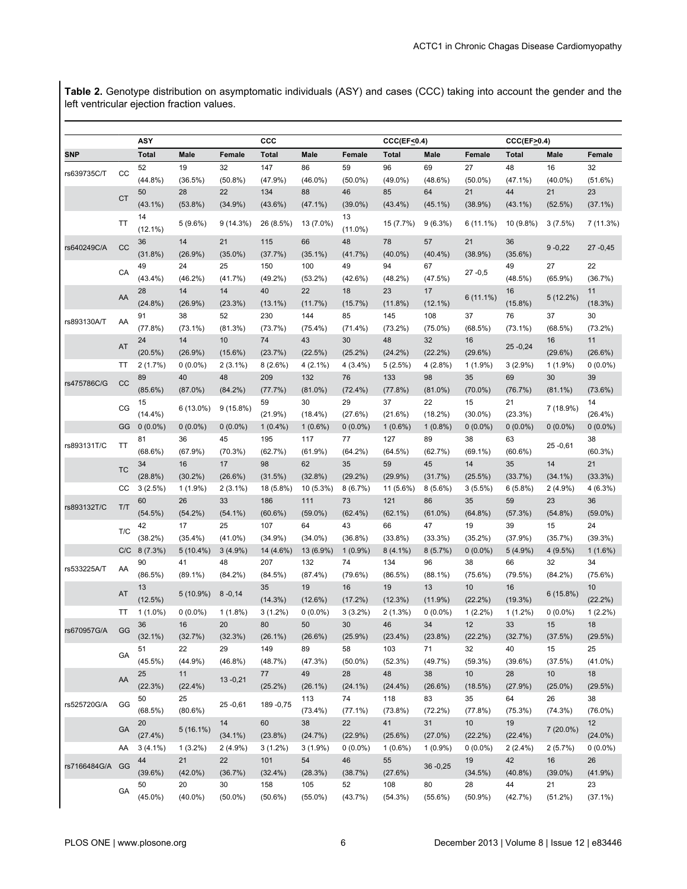**Table 2.** Genotype distribution on asymptomatic individuals (ASY) and cases (CCC) taking into account the gender and the left ventricular ejection fraction values.

|              |           | ASY              |             |               | CCC               |            |                  | $CCC(EF \le 0.4)$ |                   |             | $CCC(EF \ge 0.4)$ |             |               |
|--------------|-----------|------------------|-------------|---------------|-------------------|------------|------------------|-------------------|-------------------|-------------|-------------------|-------------|---------------|
| <b>SNP</b>   |           | <b>Total</b>     | <b>Male</b> | <b>Female</b> | <b>Total</b>      | Male       | Female           | Total             | Male              | Female      | <b>Total</b>      | Male        | Female        |
|              |           | 52               | 19          | 32            | 147               | 86         | 59               | 96                | 69                | 27          | 48                | 16          | 32            |
| rs639735C/T  | CC        | $(44.8\%)$       | (36.5%)     | $(50.8\%)$    | (47.9%)           | $(46.0\%)$ | $(50.0\%)$       | $(49.0\%)$        | $(48.6\%)$        | $(50.0\%)$  | $(47.1\%)$        | $(40.0\%)$  | (51.6%)       |
|              |           | 50               | 28          | 22            | 134               | 88         | 46               | 85                | 64                | 21          | 44                | 21          | 23            |
|              | <b>CT</b> | $(43.1\%)$       | $(53.8\%)$  | $(34.9\%)$    | $(43.6\%)$        | $(47.1\%)$ | $(39.0\%)$       | $(43.4\%)$        | $(45.1\%)$        | (38.9%)     | $(43.1\%)$        | (52.5%)     | $(37.1\%)$    |
|              | TT        | 14<br>$(12.1\%)$ | 5(9.6%)     | 9(14.3%)      | 26 (8.5%)         | 13 (7.0%)  | 13<br>$(11.0\%)$ | 15 (7.7%)         | $9(6.3\%)$        | $6(11.1\%)$ | 10 (9.8%)         | 3(7.5%)     | 7 (11.3%)     |
|              |           | 36               | 14          | 21            | 115               | 66         | 48               | 78                | 57                | 21          | 36                |             |               |
| rs640249C/A  | CC        | (31.8%)          | $(26.9\%)$  | $(35.0\%)$    | (37.7%)           | $(35.1\%)$ | (41.7%)          | $(40.0\%)$        | $(40.4\%)$        | (38.9%)     | $(35.6\%)$        | $9 - 0,22$  | 27 - 0,45     |
|              |           | 49               | 24          | 25            | 150               | 100        | 49               | 94                | 67                |             | 49                | 27          | 22            |
|              | CA        | $(43.4\%)$       | $(46.2\%)$  | (41.7%)       | $(49.2\%)$        | $(53.2\%)$ | $(42.6\%)$       | $(48.2\%)$        | (47.5%)           | 27 -0,5     | $(48.5\%)$        | $(65.9\%)$  | (36.7%)       |
|              |           | 28               | 14          | 14            | 40                | 22         | 18               | 23                | 17                |             | 16                |             | 11            |
|              | AA        | (24.8%)          | $(26.9\%)$  |               |                   | (11.7%)    |                  | (11.8%)           |                   | $6(11.1\%)$ |                   | 5(12.2%)    |               |
|              |           | 91               | 38          | (23.3%)<br>52 | $(13.1\%)$<br>230 | 144        | (15.7%)<br>85    | 145               | $(12.1\%)$<br>108 | 37          | (15.8%)<br>76     | 37          | (18.3%)<br>30 |
| rs893130A/T  | AA        |                  |             |               |                   |            |                  |                   |                   |             |                   |             |               |
|              |           | (77.8%)          | $(73.1\%)$  | (81.3%)       | (73.7%)           | $(75.4\%)$ | $(71.4\%)$       | $(73.2\%)$        | $(75.0\%)$        | (68.5%)     | $(73.1\%)$        | (68.5%)     | $(73.2\%)$    |
|              | AT        | 24               | 14          | 10            | 74                | 43         | 30               | 48                | 32                | 16          | 25 - 0, 24        | 16          | 11            |
|              |           | $(20.5\%)$       | $(26.9\%)$  | $(15.6\%)$    | (23.7%)           | (22.5%)    | $(25.2\%)$       | $(24.2\%)$        | $(22.2\%)$        | (29.6%)     |                   | $(29.6\%)$  | (26.6%)       |
|              | <b>TT</b> | 2(1.7%)          | $0(0.0\%)$  | $2(3.1\%)$    | 8(2.6%)           | $4(2.1\%)$ | $4(3.4\%)$       | 5(2.5%)           | 4(2.8%)           | $1(1.9\%)$  | $3(2.9\%)$        | $1(1.9\%)$  | $0(0.0\%)$    |
| rs475786C/G  | CC        | 89               | 40          | 48            | 209               | 132        | 76               | 133               | 98                | 35          | 69                | 30          | 39            |
|              |           | $(85.6\%)$       | $(87.0\%)$  | $(84.2\%)$    | (77.7%)           | $(81.0\%)$ | $(72.4\%)$       | (77.8%)           | $(81.0\%)$        | $(70.0\%)$  | (76.7%)           | $(81.1\%)$  | (73.6%)       |
|              | CG        | 15               | $6(13.0\%)$ | 9(15.8%)      | 59                | 30         | 29               | 37                | 22                | 15          | 21                | 7 (18.9%)   | 14            |
|              |           | $(14.4\%)$       |             |               | $(21.9\%)$        | $(18.4\%)$ | (27.6%)          | (21.6%)           | $(18.2\%)$        | $(30.0\%)$  | (23.3%)           |             | $(26.4\%)$    |
|              | GG        | $0(0.0\%)$       | $0(0.0\%)$  | $0(0.0\%)$    | $1(0.4\%)$        | $1(0.6\%)$ | $0(0.0\%)$       | $1(0.6\%)$        | $1(0.8\%)$        | $0(0.0\%)$  | $0(0.0\%)$        | $0(0.0\%)$  | $0(0.0\%)$    |
| rs893131T/C  | <b>TT</b> | 81               | 36          | 45            | 195               | 117        | 77               | 127               | 89                | 38          | 63                | $25 - 0,61$ | 38            |
|              |           | $(68.6\%)$       | (67.9%)     | (70.3%)       | (62.7%)           | (61.9%)    | $(64.2\%)$       | (64.5%)           | (62.7%)           | $(69.1\%)$  | (60.6%)           |             | (60.3%)       |
|              | <b>TC</b> | 34               | 16          | 17            | 98                | 62         | 35               | 59                | 45                | 14          | 35                | 14          | 21            |
|              |           | (28.8%)          | $(30.2\%)$  | $(26.6\%)$    | (31.5%)           | (32.8%)    | $(29.2\%)$       | $(29.9\%)$        | (31.7%)           | (25.5%)     | (33.7%)           | $(34.1\%)$  | (33.3%)       |
|              | cc        | 3(2.5%)          | $1(1.9\%)$  | $2(3.1\%)$    | 18 (5.8%)         | 10 (5.3%)  | 8(6.7%)          | 11 (5.6%)         | $8(5.6\%)$        | 3(5.5%)     | 6(5.8%)           | $2(4.9\%)$  | 4 (6.3%)      |
| rs893132T/C  | T/T       | 60               | 26          | 33            | 186               | 111        | 73               | 121               | 86                | 35          | 59                | 23          | 36            |
|              |           | (54.5%)          | $(54.2\%)$  | $(54.1\%)$    | $(60.6\%)$        | $(59.0\%)$ | $(62.4\%)$       | $(62.1\%)$        | $(61.0\%)$        | $(64.8\%)$  | (57.3%)           | $(54.8\%)$  | $(59.0\%)$    |
|              | T/C       | 42               | 17          | 25            | 107               | 64         | 43               | 66                | 47                | 19          | 39                | 15          | 24            |
|              |           | $(38.2\%)$       | $(35.4\%)$  | $(41.0\%)$    | $(34.9\%)$        | $(34.0\%)$ | $(36.8\%)$       | $(33.8\%)$        | (33.3%)           | $(35.2\%)$  | (37.9%)           | (35.7%)     | (39.3%)       |
|              | C/C       | $8(7.3\%)$       | $5(10.4\%)$ | $3(4.9\%)$    | 14 (4.6%)         | 13 (6.9%)  | $1(0.9\%)$       | $8(4.1\%)$        | 8(5.7%)           | $0(0.0\%)$  | $5(4.9\%)$        | 4(9.5%)     | 1(1.6%)       |
| rs533225A/T  | AA        | 90               | 41          | 48            | 207               | 132        | 74               | 134               | 96                | 38          | 66                | 32          | 34            |
|              |           | $(86.5\%)$       | $(89.1\%)$  | $(84.2\%)$    | (84.5%)           | (87.4%)    | (79.6%)          | (86.5%)           | $(88.1\%)$        | $(75.6\%)$  | (79.5%)           | $(84.2\%)$  | (75.6%)       |
|              | AT        | 13               | $5(10.9\%)$ | $8 - 0,14$    | 35                | 19         | 16               | 19                | 13                | 10          | 16                |             | 10            |
|              |           | (12.5%)          |             |               | (14.3%)           | (12.6%)    | (17.2%)          | (12.3%)           | $(11.9\%)$        | $(22.2\%)$  | (19.3%)           | 6(15.8%)    | (22.2%)       |
|              | TT        | $1(1.0\%)$       | $0(0.0\%)$  | $1(1.8\%)$    | $3(1.2\%)$        | $0(0.0\%)$ | $3(3.2\%)$       | 2 (1.3%)          | $0(0.0\%)$        | $1(2.2\%)$  | $1(1.2\%)$        | $0(0.0\%)$  | $1(2.2\%)$    |
|              |           | 36               | 16          | 20            | 80                | 50         | 30               | 46                | 34                | 12          | 33                | 15          | 18            |
| rs670957G/A  | GG        | $(32.1\%)$       | (32.7%)     | (32.3%)       | $(26.1\%)$        | (26.6%)    | $(25.9\%)$       | $(23.4\%)$        | $(23.8\%)$        | (22.2%)     | (32.7%)           | (37.5%)     | (29.5%)       |
|              |           | 51               | 22          | 29            | 149               | 89         | 58               | 103               | 71                | 32          | 40                | 15          | 25            |
|              | GA        | $(45.5\%)$       | (44.9%)     | $(46.8\%)$    | (48.7%)           | (47.3%)    | $(50.0\%)$       | (52.3%)           | (49.7%)           | (59.3%)     | (39.6%)           | (37.5%)     | $(41.0\%)$    |
|              |           | 25               | 11          |               | 77                | 49         | 28               | 48                | 38                | 10          | 28                | 10          | 18            |
|              | AA        | (22.3%)          | (22.4%)     | $13 - 0,21$   | (25.2%)           | $(26.1\%)$ | $(24.1\%)$       | $(24.4\%)$        | (26.6%)           | (18.5%)     | (27.9%)           | $(25.0\%)$  | (29.5%)       |
|              |           | 50               | 25          |               |                   | 113        | 74               | 118               | 83                | 35          | 64                | 26          | 38            |
| rs525720G/A  | GG        | (68.5%)          | $(80.6\%)$  | $25 - 0,61$   | 189 - 0,75        | $(73.4\%)$ | $(77.1\%)$       | (73.8%)           | $(72.2\%)$        | (77.8%)     | (75.3%)           | (74.3%)     | $(76.0\%)$    |
|              |           | 20               |             | 14            | 60                | 38         | 22               | 41                | 31                | 10          | 19                |             | 12            |
|              | GA        | (27.4%)          | $5(16.1\%)$ | $(34.1\%)$    | (23.8%)           | (24.7%)    | (22.9%)          | (25.6%)           | $(27.0\%)$        | (22.2%)     | (22.4%)           | $7(20.0\%)$ | $(24.0\%)$    |
|              | AA        | $3(4.1\%)$       | $1(3.2\%)$  | $2(4.9\%)$    | $3(1.2\%)$        | $3(1.9\%)$ | $0(0.0\%)$       | $1(0.6\%)$        | $1(0.9\%)$        | $0(0.0\%)$  | $2(2.4\%)$        | 2(5.7%)     | $0(0.0\%)$    |
|              |           | 44               | 21          | 22            | 101               | 54         | 46               | 55                |                   | 19          | 42                | 16          | 26            |
| rs7166484G/A | GG        | $(39.6\%)$       | $(42.0\%)$  | (36.7%)       | $(32.4\%)$        | (28.3%)    | (38.7%)          | (27.6%)           | $36 - 0,25$       | (34.5%)     | $(40.8\%)$        | $(39.0\%)$  | (41.9%)       |
|              |           | 50               | 20          | 30            | 158               | 105        | 52               | 108               | 80                | 28          | 44                | 21          | 23            |
|              | GA        | $(45.0\%)$       | $(40.0\%)$  | $(50.0\%)$    | $(50.6\%)$        | $(55.0\%)$ | (43.7%)          | (54.3%)           | $(55.6\%)$        | $(50.9\%)$  | (42.7%)           | (51.2%)     | $(37.1\%)$    |
|              |           |                  |             |               |                   |            |                  |                   |                   |             |                   |             |               |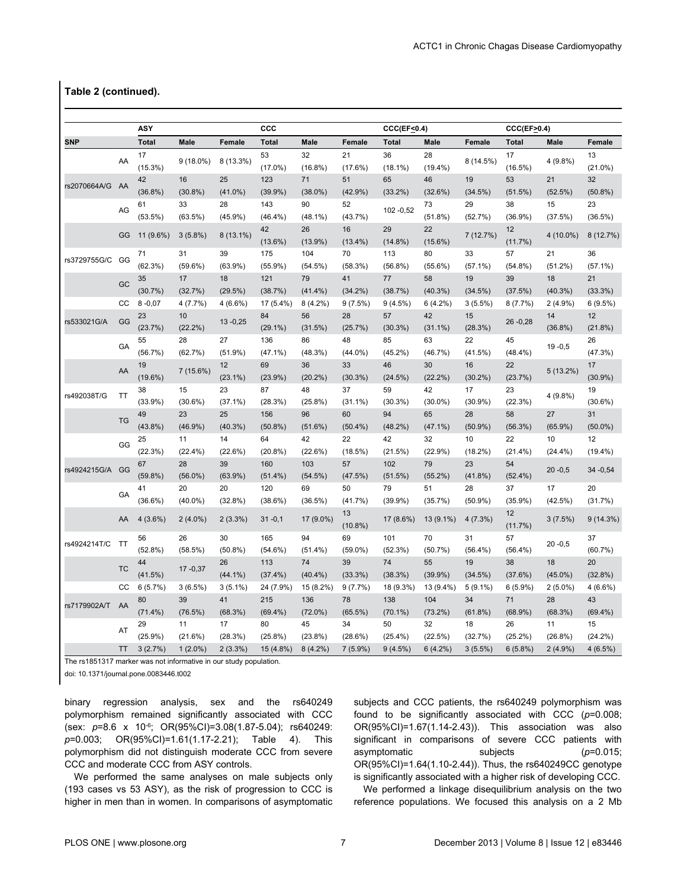#### **Table 2 (continued).**

|              |           | <b>ASY</b>       |             |             | CCC              |                  |                  | CCC(EF<0.4)      |                  |            | $CCCEF \ge 0.4$ ) |             |                  |
|--------------|-----------|------------------|-------------|-------------|------------------|------------------|------------------|------------------|------------------|------------|-------------------|-------------|------------------|
| SNP          |           | <b>Total</b>     | <b>Male</b> | Female      | <b>Total</b>     | <b>Male</b>      | Female           | <b>Total</b>     | Male             | Female     | <b>Total</b>      | Male        | Female           |
|              | AA        | 17               | $9(18.0\%)$ | $8(13.3\%)$ | 53<br>$(17.0\%)$ | 32               | 21               | 36               | 28<br>$(19.4\%)$ | 8 (14.5%)  | 17                | 4 (9.8%)    | 13<br>$(21.0\%)$ |
|              |           | $(15.3\%)$<br>42 | 16          | 25          | 123              | $(16.8\%)$<br>71 | (17.6%)<br>51    | $(18.1\%)$<br>65 | 46               | 19         | $(16.5\%)$<br>53  | 21          | 32               |
| rs2070664A/G | - AA      | $(36.8\%)$       | $(30.8\%)$  | $(41.0\%)$  | (39.9%           | $(38.0\%)$       | $(42.9\%)$       | $(33.2\%)$       | (32.6%)          | (34.5%)    | (51.5%)           | (52.5%)     | $(50.8\%)$       |
|              |           | 61               | 33          | 28          | 143              | 90               | 52               |                  | 73               | 29         | 38                | 15          | 23               |
|              | AG        | (53.5%)          | $(63.5\%)$  | $(45.9\%)$  | $(46.4\%)$       | $(48.1\%)$       | (43.7%)          | 102 - 0,52       | $(51.8\%)$       | (52.7%)    | (36.9%)           | (37.5%)     | (36.5%)          |
|              |           |                  |             |             | 42               | 26               | 16               | 29               | 22               |            | 12                |             |                  |
|              | GG        | 11 (9.6%)        | $3(5.8\%)$  | 8 (13.1%)   | (13.6%)          | $(13.9\%)$       | $(13.4\%)$       | $(14.8\%)$       | $(15.6\%)$       | 7 (12.7%)  | (11.7%)           | 4 (10.0%)   | 8(12.7%)         |
|              |           | 71               | 31          | 39          | 175              | 104              | 70               | 113              | 80               | 33         | 57                | 21          | 36               |
| rs3729755G/C | GG        | (62.3%)          | $(59.6\%)$  | $(63.9\%)$  | $(55.9\%)$       | $(54.5\%)$       | (58.3%)          | $(56.8\%)$       | $(55.6\%)$       | $(57.1\%)$ | $(54.8\%)$        | $(51.2\%)$  | $(57.1\%)$       |
|              |           | 35               | 17          | 18          | 121              | 79               | 41               | 77               | 58               | 19         | 39                | 18          | 21               |
|              | GC        | (30.7%)          | (32.7%)     | (29.5%)     | (38.7%)          | $(41.4\%)$       | $(34.2\%)$       | (38.7%)          | $(40.3\%)$       | (34.5%)    | (37.5%)           | $(40.3\%)$  | $(33.3\%)$       |
|              | CC        | $8 - 0.07$       | 4(7.7%)     | 4 (6.6%)    | 17 (5.4%)        | $8(4.2\%)$       | 9(7.5%)          | 9(4.5%)          | $6(4.2\%)$       | 3(5.5%)    | 8(7.7%)           | $2(4.9\%)$  | 6(9.5%)          |
|              |           | 23               | 10          |             | 84               | 56               | 28               | 57               | 42               | 15         |                   | 14          | 12               |
| rs533021G/A  | GG        | (23.7%)          | $(22.2\%)$  | $13 - 0.25$ | $(29.1\%)$       | (31.5%)          | (25.7%)          | (30.3%)          | $(31.1\%)$       | (28.3%)    | $26 - 0.28$       | $(36.8\%)$  | (21.8%)          |
|              |           | 55               | 28          | 27          | 136              | 86               | 48               | 85               | 63               | 22         | 45                |             | 26               |
|              | GA        | (56.7%)          | (62.7%)     | $(51.9\%)$  | $(47.1\%)$       | $(48.3\%)$       | $(44.0\%)$       | $(45.2\%)$       | (46.7%)          | (41.5%)    | $(48.4\%)$        | $19 - 0.5$  | (47.3%)          |
|              |           | 19               |             | 12          | 69               | 36               | 33               | 46               | 30               | 16         | 22                |             | 17               |
|              | AA        | $(19.6\%)$       | 7 (15.6%)   | $(23.1\%)$  | $(23.9\%)$       | $(20.2\%)$       | $(30.3\%)$       | (24.5%)          | $(22.2\%)$       | $(30.2\%)$ | (23.7%)           | $5(13.2\%)$ | $(30.9\%)$       |
|              |           | 38               | 15          | 23          | 87               | 48               | 37               | 59               | 42               | 17         | 23                |             | 19               |
| rs492038T/G  | TT        | $(33.9\%)$       | $(30.6\%)$  | $(37.1\%)$  | (28.3%)          | (25.8%)          | $(31.1\%)$       | (30.3%)          | $(30.0\%)$       | $(30.9\%)$ | (22.3%)           | 4 (9.8%)    | $(30.6\%)$       |
|              |           | 49               | 23          | 25          | 156              | 96               | 60               | 94               | 65               | 28         | 58                | 27          | 31               |
|              | <b>TG</b> | $(43.8\%)$       | $(46.9\%)$  | $(40.3\%)$  | $(50.8\%)$       | (51.6%)          | $(50.4\%)$       | $(48.2\%)$       | $(47.1\%)$       | $(50.9\%)$ | (56.3%)           | $(65.9\%)$  | $(50.0\%)$       |
|              |           | 25               | 11          | 14          | 64               | 42               | 22               | 42               | 32               | 10         | 22                | 10          | 12               |
|              | GG        | (22.3%)          | $(22.4\%)$  | (22.6%)     | $(20.8\%)$       | (22.6%)          | (18.5%)          | (21.5%)          | (22.9%)          | $(18.2\%)$ | $(21.4\%)$        | $(24.4\%)$  | $(19.4\%)$       |
|              | GG        | 67               | 28          | 39          | 160              | 103              | 57               | 102              | 79               | 23         | 54                |             |                  |
| rs4924215G/A |           | $(59.8\%)$       | $(56.0\%)$  | $(63.9\%)$  | $(51.4\%)$       | $(54.5\%)$       | (47.5%)          | (51.5%)          | $(55.2\%)$       | $(41.8\%)$ | $(52.4\%)$        | $20 - 0.5$  | 34 - 0,54        |
|              | GA        | 41               | 20          | 20          | 120              | 69               | 50               | 79               | 51               | 28         | 37                | 17          | 20               |
|              |           | $(36.6\%)$       | $(40.0\%)$  | (32.8%)     | (38.6%)          | (36.5%)          | (41.7%)          | $(39.9\%)$       | (35.7%)          | $(50.9\%)$ | $(35.9\%)$        | (42.5%)     | (31.7%)          |
|              | AA        | $4(3.6\%)$       | $2(4.0\%)$  | 2(3.3%)     | $31 - 0,1$       | 17 (9.0%)        | 13<br>$(10.8\%)$ | 17 (8.6%)        | 13 (9.1%)        | 4(7.3%)    | 12<br>(11.7%)     | 3(7.5%)     | $9(14.3\%)$      |
|              |           | 56               | 26          | 30          | 165              | 94               | 69               | 101              | 70               | 31         | 57                |             | 37               |
| rs4924214T/C | <b>TT</b> | (52.8%)          | $(58.5\%)$  | $(50.8\%)$  | $(54.6\%)$       | $(51.4\%)$       | $(59.0\%)$       | (52.3%)          | (50.7%           | $(56.4\%)$ | $(56.4\%)$        | $20 - 0,5$  | (60.7%)          |
|              | <b>TC</b> | 44               | $17 - 0.37$ | 26          | 113              | 74               | 39               | 74               | 55               | 19         | 38                | 18          | 20               |
|              |           | (41.5%)          |             | $(44.1\%)$  | $(37.4\%)$       | $(40.4\%)$       | (33.3%)          | (38.3%)          | (39.9%)          | (34.5%)    | (37.6%)           | $(45.0\%)$  | (32.8%)          |
|              | CC        | 6(5.7%)          | 3(6.5%)     | $3(5.1\%)$  | 24 (7.9%)        | 15 (8.2%)        | 9(7.7%)          | 18 (9.3%)        | 13 (9.4%)        | $5(9.1\%)$ | 6(5.9%)           | $2(5.0\%)$  | $4(6.6\%)$       |
| rs7179902A/T | AA        | 80               | 39          | 41          | 215              | 136              | 78               | 138              | 104              | 34         | 71                | 28          | 43               |
|              |           | $(71.4\%)$       | (76.5%)     | (68.3%)     | $(69.4\%)$       | $(72.0\%)$       | $(65.5\%)$       | $(70.1\%)$       | $(73.2\%)$       | $(61.8\%)$ | $(68.9\%)$        | (68.3%)     | $(69.4\%)$       |
|              | AT        | 29               | 11          | 17          | 80               | 45               | 34               | 50               | 32               | 18         | 26                | 11          | 15               |
|              |           | $(25.9\%)$       | (21.6%)     | (28.3%)     | $(25.8\%)$       | $(23.8\%)$       | $(28.6\%)$       | $(25.4\%)$       | (22.5%)          | (32.7%)    | $(25.2\%)$        | $(26.8\%)$  | $(24.2\%)$       |
|              | <b>TT</b> | 3(2.7%)          | $1(2.0\%)$  | 2(3.3%)     | 15 (4.8%)        | $8(4.2\%)$       | $7(5.9\%)$       | 9(4.5%)          | 6(4.2%)          | $3(5.5\%)$ | 6(5.8%)           | $2(4.9\%)$  | 4 (6.5%)         |

The rs1851317 marker was not informative in our study population.

doi: 10.1371/journal.pone.0083446.t002

binary regression analysis, sex and the rs640249 polymorphism remained significantly associated with CCC (sex: *p*=8.6 x 10-6; OR(95%CI)=3.08(1.87-5.04); rs640249: *p*=0.003; OR(95%CI)=1.61(1.17-2.21); Table 4). This polymorphism did not distinguish moderate CCC from severe CCC and moderate CCC from ASY controls.

We performed the same analyses on male subjects only (193 cases vs 53 ASY), as the risk of progression to CCC is higher in men than in women. In comparisons of asymptomatic

subjects and CCC patients, the rs640249 polymorphism was found to be significantly associated with CCC (*p*=0.008; OR(95%CI)=1.67(1.14-2.43)). This association was also significant in comparisons of severe CCC patients with asymptomatic subjects (*p*=0.015; OR(95%CI)=1.64(1.10-2.44)). Thus, the rs640249CC genotype is significantly associated with a higher risk of developing CCC.

We performed a linkage disequilibrium analysis on the two reference populations. We focused this analysis on a 2 Mb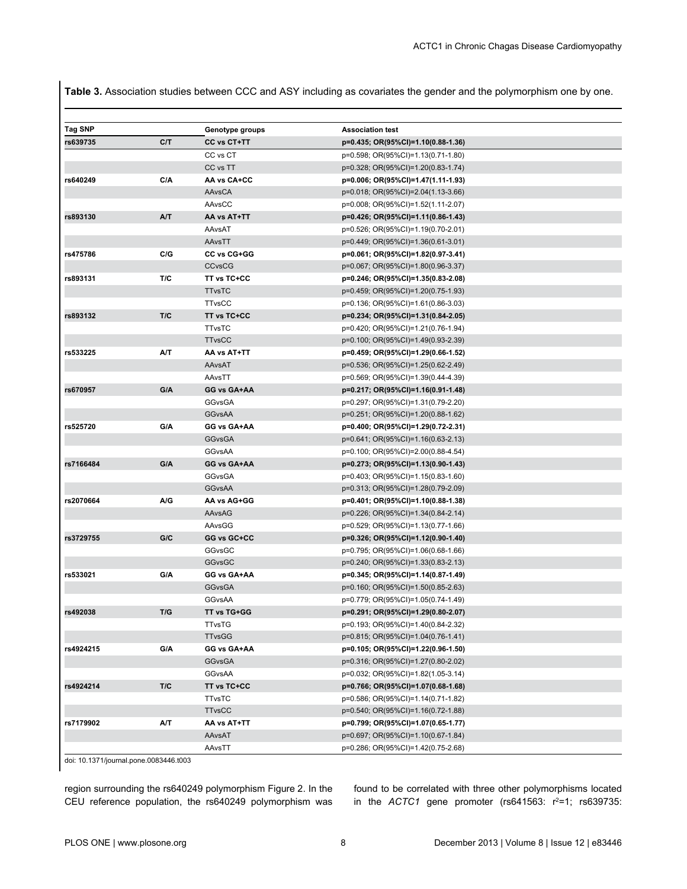**Table 3.** Association studies between CCC and ASY including as covariates the gender and the polymorphism one by one.

| <b>Tag SNP</b> |     | Genotype groups | <b>Association test</b>            |
|----------------|-----|-----------------|------------------------------------|
| rs639735       | C/T | CC vs CT+TT     | p=0.435; OR(95%CI)=1.10(0.88-1.36) |
|                |     | CC vs CT        | p=0.598; OR(95%CI)=1.13(0.71-1.80) |
|                |     | CC vs TT        | p=0.328; OR(95%CI)=1.20(0.83-1.74) |
| rs640249       | C/A | AA vs CA+CC     | p=0.006; OR(95%CI)=1.47(1.11-1.93) |
|                |     | AAvsCA          | p=0.018; OR(95%CI)=2.04(1.13-3.66) |
|                |     | AAvsCC          | p=0.008; OR(95%CI)=1.52(1.11-2.07) |
| rs893130       | AT  | AA vs AT+TT     | p=0.426; OR(95%CI)=1.11(0.86-1.43) |
|                |     | AAvsAT          | p=0.526; OR(95%CI)=1.19(0.70-2.01) |
|                |     | AAvsTT          | p=0.449; OR(95%CI)=1.36(0.61-3.01) |
| rs475786       | C/G | CC vs CG+GG     | p=0.061; OR(95%CI)=1.82(0.97-3.41) |
|                |     | <b>CCvsCG</b>   | p=0.067; OR(95%CI)=1.80(0.96-3.37) |
| rs893131       | T/C | TT vs TC+CC     | p=0.246; OR(95%CI)=1.35(0.83-2.08) |
|                |     | <b>TTvsTC</b>   | p=0.459; OR(95%CI)=1.20(0.75-1.93) |
|                |     | <b>TTvsCC</b>   | p=0.136; OR(95%CI)=1.61(0.86-3.03) |
| rs893132       | T/C | TT vs TC+CC     | p=0.234; OR(95%CI)=1.31(0.84-2.05) |
|                |     | <b>TTvsTC</b>   | p=0.420; OR(95%CI)=1.21(0.76-1.94) |
|                |     | <b>TTvsCC</b>   | p=0.100; OR(95%CI)=1.49(0.93-2.39) |
| rs533225       | A/T | AA vs AT+TT     | p=0.459; OR(95%CI)=1.29(0.66-1.52) |
|                |     | AAvsAT          | p=0.536; OR(95%CI)=1.25(0.62-2.49) |
|                |     | AAvsTT          | p=0.569; OR(95%CI)=1.39(0.44-4.39) |
| rs670957       | G/A | GG vs GA+AA     | p=0.217; OR(95%CI)=1.16(0.91-1.48) |
|                |     | GGvsGA          | p=0.297; OR(95%CI)=1.31(0.79-2.20) |
|                |     | <b>GGvsAA</b>   | p=0.251; OR(95%CI)=1.20(0.88-1.62) |
| rs525720       | G/A | GG vs GA+AA     | p=0.400; OR(95%CI)=1.29(0.72-2.31) |
|                |     | <b>GGvsGA</b>   | p=0.641; OR(95%CI)=1.16(0.63-2.13) |
|                |     | GGvsAA          | p=0.100; OR(95%CI)=2.00(0.88-4.54) |
| rs7166484      | G/A | GG vs GA+AA     | p=0.273; OR(95%CI)=1.13(0.90-1.43) |
|                |     | GGvsGA          | p=0.403; OR(95%CI)=1.15(0.83-1.60) |
|                |     | <b>GGvsAA</b>   | p=0.313; OR(95%CI)=1.28(0.79-2.09) |
| rs2070664      | A/G | AA vs AG+GG     | p=0.401; OR(95%CI)=1.10(0.88-1.38) |
|                |     | AAvsAG          | p=0.226; OR(95%CI)=1.34(0.84-2.14) |
|                |     | AAvsGG          | p=0.529; OR(95%CI)=1.13(0.77-1.66) |
| rs3729755      | G/C | GG vs GC+CC     | p=0.326; OR(95%CI)=1.12(0.90-1.40) |
|                |     | GGvsGC          | p=0.795; OR(95%CI)=1.06(0.68-1.66) |
|                |     | GGvsGC          | p=0.240; OR(95%CI)=1.33(0.83-2.13) |
| rs533021       | G/A | GG vs GA+AA     | p=0.345; OR(95%CI)=1.14(0.87-1.49) |
|                |     | <b>GGvsGA</b>   | p=0.160; OR(95%CI)=1.50(0.85-2.63) |
|                |     | GGvsAA          | p=0.779; OR(95%CI)=1.05(0.74-1.49) |
| rs492038       | T/G | TT vs TG+GG     | p=0.291; OR(95%CI)=1.29(0.80-2.07) |
|                |     | <b>TTvsTG</b>   | p=0.193; OR(95%CI)=1.40(0.84-2.32) |
|                |     | <b>TTvsGG</b>   | p=0.815; OR(95%CI)=1.04(0.76-1.41) |
| rs4924215      | G/A | GG vs GA+AA     | p=0.105; OR(95%CI)=1.22(0.96-1.50) |
|                |     | <b>GGvsGA</b>   | p=0.316; OR(95%CI)=1.27(0.80-2.02) |
|                |     | GGvsAA          | p=0.032; OR(95%CI)=1.82(1.05-3.14) |
| rs4924214      | T/C | TT vs TC+CC     | p=0.766; OR(95%CI)=1.07(0.68-1.68) |
|                |     | <b>TTvsTC</b>   | p=0.586; OR(95%CI)=1.14(0.71-1.82) |
|                |     | <b>TTvsCC</b>   | p=0.540; OR(95%CI)=1.16(0.72-1.88) |
| rs7179902      | A/T | AA vs AT+TT     | p=0.799; OR(95%CI)=1.07(0.65-1.77) |
|                |     | AAvsAT          | p=0.697; OR(95%CI)=1.10(0.67-1.84) |
|                |     | AAvsTT          | p=0.286; OR(95%CI)=1.42(0.75-2.68) |

doi: 10.1371/journal.pone.0083446.t003

region surrounding the rs640249 polymorphism Figure 2. In the CEU reference population, the rs640249 polymorphism was

found to be correlated with three other polymorphisms located in the  $ACTC1$  gene promoter (rs641563:  $r^2=1$ ; rs639735: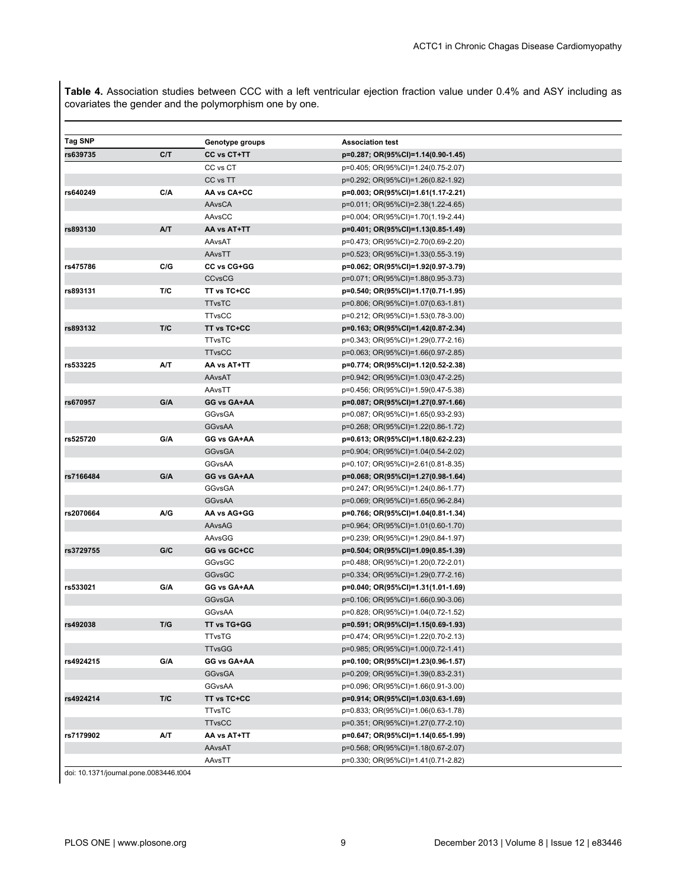**Table 4.** Association studies between CCC with a left ventricular ejection fraction value under 0.4% and ASY including as covariates the gender and the polymorphism one by one.

| Tag SNP   |     | Genotype groups | <b>Association test</b>            |  |
|-----------|-----|-----------------|------------------------------------|--|
| rs639735  | C/T | CC vs CT+TT     | p=0.287; OR(95%CI)=1.14(0.90-1.45) |  |
|           |     | CC vs CT        | p=0.405; OR(95%CI)=1.24(0.75-2.07) |  |
|           |     | CC vs TT        | p=0.292; OR(95%CI)=1.26(0.82-1.92) |  |
| rs640249  | C/A | AA vs CA+CC     | p=0.003; OR(95%CI)=1.61(1.17-2.21) |  |
|           |     | AAvsCA          | p=0.011; OR(95%CI)=2.38(1.22-4.65) |  |
|           |     | AAvsCC          | p=0.004; OR(95%CI)=1.70(1.19-2.44) |  |
| rs893130  | A/T | AA vs AT+TT     | p=0.401; OR(95%CI)=1.13(0.85-1.49) |  |
|           |     | AAvsAT          | p=0.473; OR(95%CI)=2.70(0.69-2.20) |  |
|           |     | AAvsTT          | p=0.523; OR(95%CI)=1.33(0.55-3.19) |  |
| rs475786  | C/G | CC vs CG+GG     | p=0.062; OR(95%CI)=1.92(0.97-3.79) |  |
|           |     | <b>CCvsCG</b>   | p=0.071; OR(95%CI)=1.88(0.95-3.73) |  |
| rs893131  | T/C | TT vs TC+CC     | p=0.540; OR(95%CI)=1.17(0.71-1.95) |  |
|           |     | <b>TTvsTC</b>   | p=0.806; OR(95%CI)=1.07(0.63-1.81) |  |
|           |     | <b>TTvsCC</b>   | p=0.212; OR(95%CI)=1.53(0.78-3.00) |  |
| rs893132  | T/C | TT vs TC+CC     | p=0.163; OR(95%CI)=1.42(0.87-2.34) |  |
|           |     | <b>TTvsTC</b>   | p=0.343; OR(95%CI)=1.29(0.77-2.16) |  |
|           |     | <b>TTvsCC</b>   | p=0.063; OR(95%CI)=1.66(0.97-2.85) |  |
| rs533225  | A/T | AA vs AT+TT     | p=0.774; OR(95%CI)=1.12(0.52-2.38) |  |
|           |     | AAvsAT          | p=0.942; OR(95%CI)=1.03(0.47-2.25) |  |
|           |     | AAvsTT          | p=0.456; OR(95%CI)=1.59(0.47-5.38) |  |
| rs670957  | G/A | GG vs GA+AA     | p=0.087; OR(95%CI)=1.27(0.97-1.66) |  |
|           |     | <b>GGvsGA</b>   | p=0.087; OR(95%CI)=1.65(0.93-2.93) |  |
|           |     | <b>GGvsAA</b>   | p=0.268; OR(95%CI)=1.22(0.86-1.72) |  |
| rs525720  | G/A | GG vs GA+AA     | p=0.613; OR(95%CI)=1.18(0.62-2.23) |  |
|           |     | <b>GGvsGA</b>   | p=0.904; OR(95%CI)=1.04(0.54-2.02) |  |
|           |     | GGvsAA          | p=0.107; OR(95%CI)=2.61(0.81-8.35) |  |
| rs7166484 | G/A | GG vs GA+AA     | p=0.068; OR(95%CI)=1.27(0.98-1.64) |  |
|           |     | GGvsGA          | p=0.247; OR(95%CI)=1.24(0.86-1.77) |  |
|           |     | <b>GGvsAA</b>   | p=0.069; OR(95%CI)=1.65(0.96-2.84) |  |
| rs2070664 | A/G | AA vs AG+GG     | p=0.766; OR(95%CI)=1.04(0.81-1.34) |  |
|           |     | AAvsAG          | p=0.964; OR(95%CI)=1.01(0.60-1.70) |  |
|           |     | AAvsGG          | p=0.239; OR(95%CI)=1.29(0.84-1.97) |  |
| rs3729755 | G/C | GG vs GC+CC     | p=0.504; OR(95%CI)=1.09(0.85-1.39) |  |
|           |     | GGvsGC          | p=0.488; OR(95%CI)=1.20(0.72-2.01) |  |
|           |     | <b>GGvsGC</b>   | p=0.334; OR(95%CI)=1.29(0.77-2.16) |  |
| rs533021  | G/A | GG vs GA+AA     | p=0.040; OR(95%CI)=1.31(1.01-1.69) |  |
|           |     | <b>GGvsGA</b>   | p=0.106; OR(95%CI)=1.66(0.90-3.06) |  |
|           |     | GGvsAA          | p=0.828; OR(95%CI)=1.04(0.72-1.52) |  |
| rs492038  | T/G | TT vs TG+GG     | p=0.591; OR(95%CI)=1.15(0.69-1.93) |  |
|           |     | <b>TTvsTG</b>   | p=0.474; OR(95%CI)=1.22(0.70-2.13) |  |
|           |     | <b>TTvsGG</b>   | p=0.985; OR(95%CI)=1.00(0.72-1.41) |  |
| rs4924215 | G/A | GG vs GA+AA     | p=0.100; OR(95%CI)=1.23(0.96-1.57) |  |
|           |     | GGvsGA          | p=0.209; OR(95%CI)=1.39(0.83-2.31) |  |
|           |     | GGvsAA          | p=0.096; OR(95%CI)=1.66(0.91-3.00) |  |
| rs4924214 | T/C | TT vs TC+CC     | p=0.914; OR(95%CI)=1.03(0.63-1.69) |  |
|           |     | <b>TTvsTC</b>   | p=0.833; OR(95%CI)=1.06(0.63-1.78) |  |
|           |     | <b>TTvsCC</b>   | p=0.351; OR(95%CI)=1.27(0.77-2.10) |  |
| rs7179902 | A/T | AA vs AT+TT     | p=0.647; OR(95%CI)=1.14(0.65-1.99) |  |
|           |     | AAvsAT          | p=0.568; OR(95%CI)=1.18(0.67-2.07) |  |
|           |     | AAvsTT          | p=0.330; OR(95%CI)=1.41(0.71-2.82) |  |

doi: 10.1371/journal.pone.0083446.t004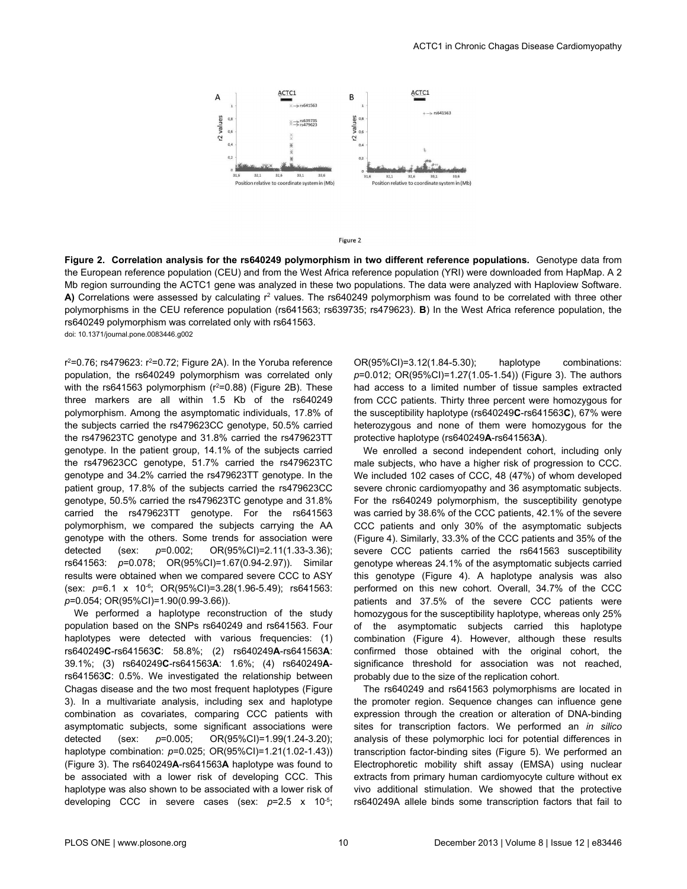

Figure 2

**Figure 2. Correlation analysis for the rs640249 polymorphism in two different reference populations.** Genotype data from the European reference population (CEU) and from the West Africa reference population (YRI) were downloaded from HapMap. A 2 Mb region surrounding the ACTC1 gene was analyzed in these two populations. The data were analyzed with Haploview Software. A) Correlations were assessed by calculating r<sup>2</sup> values. The rs640249 polymorphism was found to be correlated with three other polymorphisms in the CEU reference population (rs641563; rs639735; rs479623). **B**) In the West Africa reference population, the rs640249 polymorphism was correlated only with rs641563. doi: 10.1371/journal.pone.0083446.g002

r<sup>2</sup>=0.76; rs479623: r<sup>2</sup>=0.72; Figure 2A). In the Yoruba reference population, the rs640249 polymorphism was correlated only with the rs641563 polymorphism  $(r^2=0.88)$  (Figure 2B). These three markers are all within 1.5 Kb of the rs640249 polymorphism. Among the asymptomatic individuals, 17.8% of the subjects carried the rs479623CC genotype, 50.5% carried the rs479623TC genotype and 31.8% carried the rs479623TT genotype. In the patient group, 14.1% of the subjects carried the rs479623CC genotype, 51.7% carried the rs479623TC genotype and 34.2% carried the rs479623TT genotype. In the patient group, 17.8% of the subjects carried the rs479623CC genotype, 50.5% carried the rs479623TC genotype and 31.8% carried the rs479623TT genotype. For the rs641563 polymorphism, we compared the subjects carrying the AA genotype with the others. Some trends for association were detected (sex: *p*=0.002; OR(95%CI)=2.11(1.33-3.36); rs641563: *p*=0.078; OR(95%CI)=1.67(0.94-2.97)). Similar results were obtained when we compared severe CCC to ASY (sex: *p*=6.1 x 10-6; OR(95%CI)=3.28(1.96-5.49); rs641563: *p*=0.054; OR(95%CI)=1.90(0.99-3.66)).

We performed a haplotype reconstruction of the study population based on the SNPs rs640249 and rs641563. Four haplotypes were detected with various frequencies: (1) rs640249**C**-rs641563**C**: 58.8%; (2) rs640249**A**-rs641563**A**: 39.1%; (3) rs640249**C**-rs641563**A**: 1.6%; (4) rs640249**A**rs641563**C**: 0.5%. We investigated the relationship between Chagas disease and the two most frequent haplotypes (Figure 3). In a multivariate analysis, including sex and haplotype combination as covariates, comparing CCC patients with asymptomatic subjects, some significant associations were detected (sex: *p*=0.005; OR(95%CI)=1.99(1.24-3.20); haplotype combination: *p*=0.025; OR(95%CI)=1.21(1.02-1.43)) (Figure 3). The rs640249**A**-rs641563**A** haplotype was found to be associated with a lower risk of developing CCC. This haplotype was also shown to be associated with a lower risk of developing CCC in severe cases (sex: *p*=2.5 x 10-5;

OR(95%CI)=3.12(1.84-5.30); haplotype combinations: *p*=0.012; OR(95%CI)=1.27(1.05-1.54)) (Figure 3). The authors had access to a limited number of tissue samples extracted from CCC patients. Thirty three percent were homozygous for the susceptibility haplotype (rs640249**C**-rs641563**C**), 67% were heterozygous and none of them were homozygous for the protective haplotype (rs640249**A**-rs641563**A**).

We enrolled a second independent cohort, including only male subjects, who have a higher risk of progression to CCC. We included 102 cases of CCC, 48 (47%) of whom developed severe chronic cardiomyopathy and 36 asymptomatic subjects. For the rs640249 polymorphism, the susceptibility genotype was carried by 38.6% of the CCC patients, 42.1% of the severe CCC patients and only 30% of the asymptomatic subjects (Figure 4). Similarly, 33.3% of the CCC patients and 35% of the severe CCC patients carried the rs641563 susceptibility genotype whereas 24.1% of the asymptomatic subjects carried this genotype (Figure 4). A haplotype analysis was also performed on this new cohort. Overall, 34.7% of the CCC patients and 37.5% of the severe CCC patients were homozygous for the susceptibility haplotype, whereas only 25% of the asymptomatic subjects carried this haplotype combination (Figure 4). However, although these results confirmed those obtained with the original cohort, the significance threshold for association was not reached, probably due to the size of the replication cohort.

The rs640249 and rs641563 polymorphisms are located in the promoter region. Sequence changes can influence gene expression through the creation or alteration of DNA-binding sites for transcription factors. We performed an *in silico* analysis of these polymorphic loci for potential differences in transcription factor-binding sites (Figure 5). We performed an Electrophoretic mobility shift assay (EMSA) using nuclear extracts from primary human cardiomyocyte culture without ex vivo additional stimulation. We showed that the protective rs640249A allele binds some transcription factors that fail to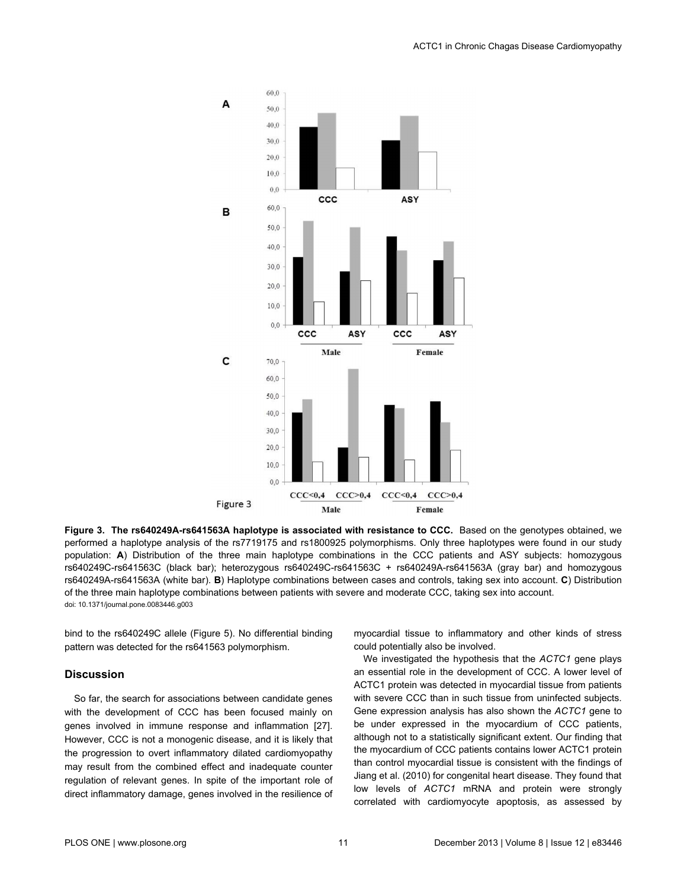

**Figure 3. The rs640249A-rs641563A haplotype is associated with resistance to CCC.** Based on the genotypes obtained, we performed a haplotype analysis of the rs7719175 and rs1800925 polymorphisms. Only three haplotypes were found in our study population: **A**) Distribution of the three main haplotype combinations in the CCC patients and ASY subjects: homozygous rs640249C-rs641563C (black bar); heterozygous rs640249C-rs641563C + rs640249A-rs641563A (gray bar) and homozygous rs640249A-rs641563A (white bar). **B**) Haplotype combinations between cases and controls, taking sex into account. **C**) Distribution of the three main haplotype combinations between patients with severe and moderate CCC, taking sex into account. doi: 10.1371/journal.pone.0083446.g003

bind to the rs640249C allele (Figure 5). No differential binding pattern was detected for the rs641563 polymorphism.

#### **Discussion**

So far, the search for associations between candidate genes with the development of CCC has been focused mainly on genes involved in immune response and inflammation [27]. However, CCC is not a monogenic disease, and it is likely that the progression to overt inflammatory dilated cardiomyopathy may result from the combined effect and inadequate counter regulation of relevant genes. In spite of the important role of direct inflammatory damage, genes involved in the resilience of

myocardial tissue to inflammatory and other kinds of stress could potentially also be involved.

We investigated the hypothesis that the *ACTC1* gene plays an essential role in the development of CCC. A lower level of ACTC1 protein was detected in myocardial tissue from patients with severe CCC than in such tissue from uninfected subjects. Gene expression analysis has also shown the *ACTC1* gene to be under expressed in the myocardium of CCC patients, although not to a statistically significant extent. Our finding that the myocardium of CCC patients contains lower ACTC1 protein than control myocardial tissue is consistent with the findings of Jiang et al. (2010) for congenital heart disease. They found that low levels of *ACTC1* mRNA and protein were strongly correlated with cardiomyocyte apoptosis, as assessed by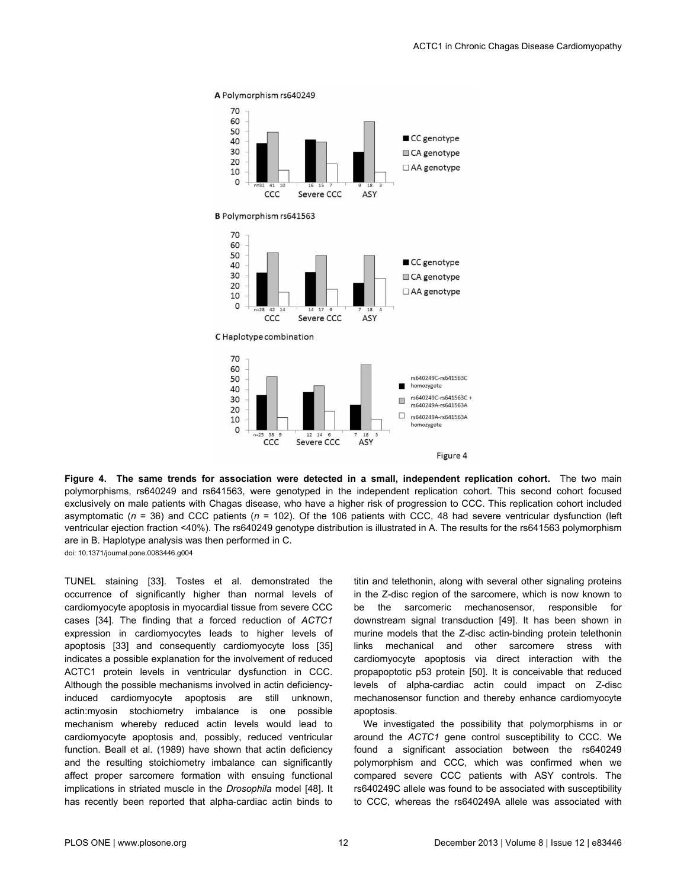

**Figure 4. The same trends for association were detected in a small, independent replication cohort.** The two main polymorphisms, rs640249 and rs641563, were genotyped in the independent replication cohort. This second cohort focused exclusively on male patients with Chagas disease, who have a higher risk of progression to CCC. This replication cohort included asymptomatic (*n* = 36) and CCC patients (*n* = 102). Of the 106 patients with CCC, 48 had severe ventricular dysfunction (left ventricular ejection fraction <40%). The rs640249 genotype distribution is illustrated in A. The results for the rs641563 polymorphism are in B. Haplotype analysis was then performed in C. doi: 10.1371/journal.pone.0083446.g004

TUNEL staining [33]. Tostes et al. demonstrated the occurrence of significantly higher than normal levels of cardiomyocyte apoptosis in myocardial tissue from severe CCC cases [34]. The finding that a forced reduction of *ACTC1* expression in cardiomyocytes leads to higher levels of apoptosis [33] and consequently cardiomyocyte loss [35] indicates a possible explanation for the involvement of reduced ACTC1 protein levels in ventricular dysfunction in CCC. Although the possible mechanisms involved in actin deficiencyinduced cardiomyocyte apoptosis are still unknown, actin:myosin stochiometry imbalance is one possible mechanism whereby reduced actin levels would lead to cardiomyocyte apoptosis and, possibly, reduced ventricular function. Beall et al. (1989) have shown that actin deficiency and the resulting stoichiometry imbalance can significantly affect proper sarcomere formation with ensuing functional implications in striated muscle in the *Drosophila* model [48]. It has recently been reported that alpha-cardiac actin binds to

titin and telethonin, along with several other signaling proteins in the Z-disc region of the sarcomere, which is now known to be the sarcomeric mechanosensor, responsible for downstream signal transduction [49]. It has been shown in murine models that the Z-disc actin-binding protein telethonin links mechanical and other sarcomere stress with cardiomyocyte apoptosis via direct interaction with the propapoptotic p53 protein [50]. It is conceivable that reduced levels of alpha-cardiac actin could impact on Z-disc mechanosensor function and thereby enhance cardiomyocyte apoptosis.

We investigated the possibility that polymorphisms in or around the *ACTC1* gene control susceptibility to CCC. We found a significant association between the rs640249 polymorphism and CCC, which was confirmed when we compared severe CCC patients with ASY controls. The rs640249C allele was found to be associated with susceptibility to CCC, whereas the rs640249A allele was associated with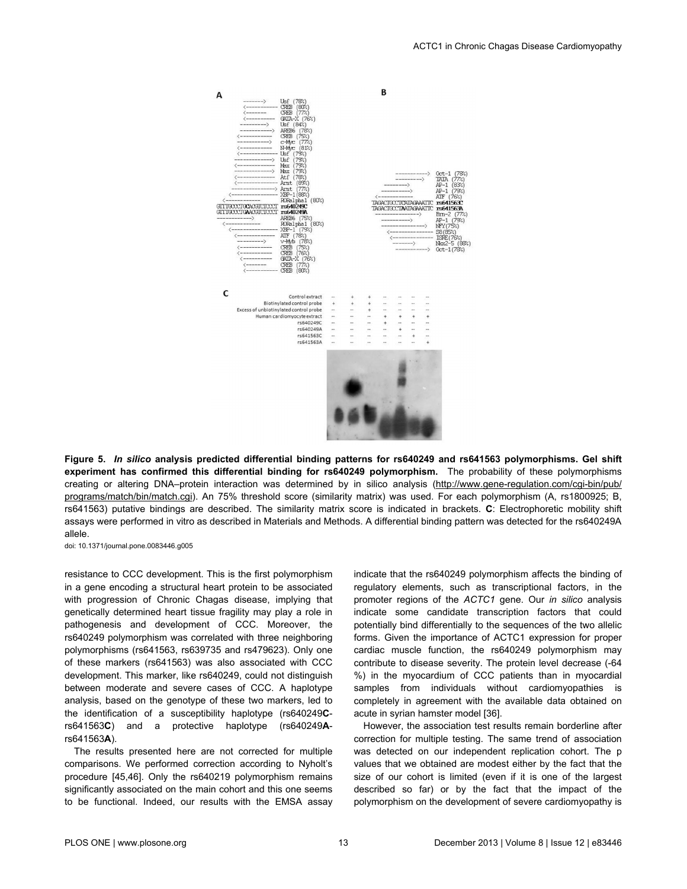

**Figure 5.** *In silico* **analysis predicted differential binding patterns for rs640249 and rs641563 polymorphisms. Gel shift experiment has confirmed this differential binding for rs640249 polymorphism.** The probability of these polymorphisms creating or altering DNA–protein interaction was determined by in silico analysis ([http://www.gene-regulation.com/cgi-bin/pub/](http://www.gene-regulation.com/cgi-bin/pub/programs/match/bin/match.cgi) [programs/match/bin/match.cgi](http://www.gene-regulation.com/cgi-bin/pub/programs/match/bin/match.cgi)). An 75% threshold score (similarity matrix) was used. For each polymorphism (A, rs1800925; B, rs641563) putative bindings are described. The similarity matrix score is indicated in brackets. **C**: Electrophoretic mobility shift assays were performed in vitro as described in Materials and Methods. A differential binding pattern was detected for the rs640249A allele.

doi: 10.1371/journal.pone.0083446.g005

resistance to CCC development. This is the first polymorphism in a gene encoding a structural heart protein to be associated with progression of Chronic Chagas disease, implying that genetically determined heart tissue fragility may play a role in pathogenesis and development of CCC. Moreover, the rs640249 polymorphism was correlated with three neighboring polymorphisms (rs641563, rs639735 and rs479623). Only one of these markers (rs641563) was also associated with CCC development. This marker, like rs640249, could not distinguish between moderate and severe cases of CCC. A haplotype analysis, based on the genotype of these two markers, led to the identification of a susceptibility haplotype (rs640249**C**rs641563**C**) and a protective haplotype (rs640249**A**rs641563**A**).

The results presented here are not corrected for multiple comparisons. We performed correction according to Nyholt's procedure [45,46]. Only the rs640219 polymorphism remains significantly associated on the main cohort and this one seems to be functional. Indeed, our results with the EMSA assay indicate that the rs640249 polymorphism affects the binding of regulatory elements, such as transcriptional factors, in the promoter regions of the *ACTC1* gene. Our *in silico* analysis indicate some candidate transcription factors that could potentially bind differentially to the sequences of the two allelic forms. Given the importance of ACTC1 expression for proper cardiac muscle function, the rs640249 polymorphism may contribute to disease severity. The protein level decrease (-64 %) in the myocardium of CCC patients than in myocardial samples from individuals without cardiomyopathies is completely in agreement with the available data obtained on acute in syrian hamster model [36].

However, the association test results remain borderline after correction for multiple testing. The same trend of association was detected on our independent replication cohort. The p values that we obtained are modest either by the fact that the size of our cohort is limited (even if it is one of the largest described so far) or by the fact that the impact of the polymorphism on the development of severe cardiomyopathy is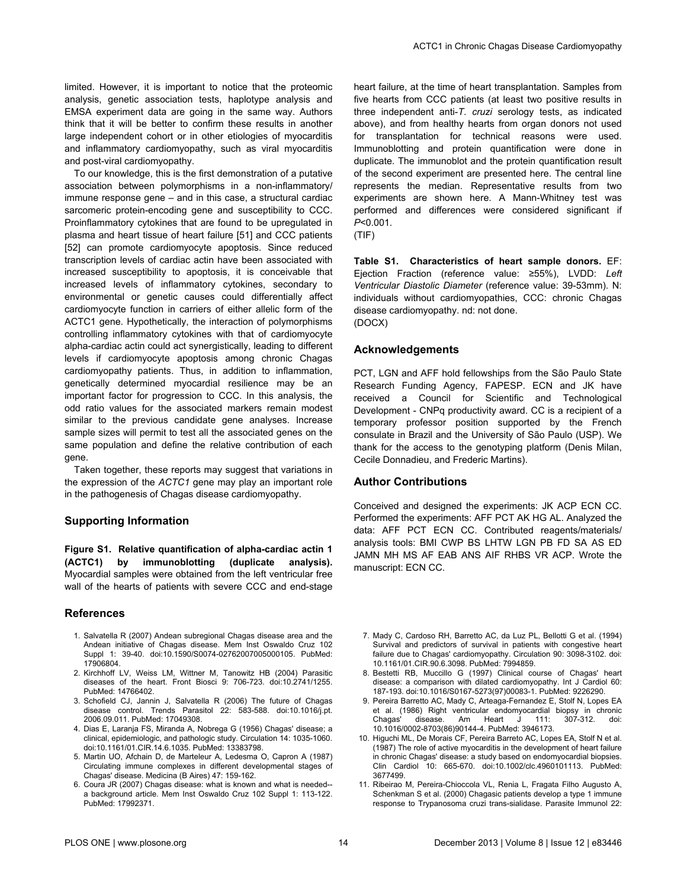limited. However, it is important to notice that the proteomic analysis, genetic association tests, haplotype analysis and EMSA experiment data are going in the same way. Authors think that it will be better to confirm these results in another large independent cohort or in other etiologies of myocarditis and inflammatory cardiomyopathy, such as viral myocarditis and post-viral cardiomyopathy.

To our knowledge, this is the first demonstration of a putative association between polymorphisms in a non-inflammatory/ immune response gene – and in this case, a structural cardiac sarcomeric protein-encoding gene and susceptibility to CCC. Proinflammatory cytokines that are found to be upregulated in plasma and heart tissue of heart failure [51] and CCC patients [52] can promote cardiomyocyte apoptosis. Since reduced transcription levels of cardiac actin have been associated with increased susceptibility to apoptosis, it is conceivable that increased levels of inflammatory cytokines, secondary to environmental or genetic causes could differentially affect cardiomyocyte function in carriers of either allelic form of the ACTC1 gene. Hypothetically, the interaction of polymorphisms controlling inflammatory cytokines with that of cardiomyocyte alpha-cardiac actin could act synergistically, leading to different levels if cardiomyocyte apoptosis among chronic Chagas cardiomyopathy patients. Thus, in addition to inflammation, genetically determined myocardial resilience may be an important factor for progression to CCC. In this analysis, the odd ratio values for the associated markers remain modest similar to the previous candidate gene analyses. Increase sample sizes will permit to test all the associated genes on the same population and define the relative contribution of each gene.

Taken together, these reports may suggest that variations in the expression of the *ACTC1* gene may play an important role in the pathogenesis of Chagas disease cardiomyopathy.

#### **Supporting Information**

**Figure S1. Relative quantification of alpha-cardiac actin 1 (ACTC1) by immunoblotting (duplicate analysis).** Myocardial samples were obtained from the left ventricular free wall of the hearts of patients with severe CCC and end-stage

#### **References**

- 1. Salvatella R (2007) Andean subregional Chagas disease area and the Andean initiative of Chagas disease. Mem Inst Oswaldo Cruz 102 Suppl 1: 39-40. doi[:10.1590/S0074-02762007005000105](http://dx.doi.org/10.1590/S0074-02762007005000105). PubMed: [17906804.](http://www.ncbi.nlm.nih.gov/pubmed/17906804)
- 2. Kirchhoff LV, Weiss LM, Wittner M, Tanowitz HB (2004) Parasitic diseases of the heart. Front Biosci 9: 706-723. doi:[10.2741/1255.](http://dx.doi.org/10.2741/1255) PubMed: [14766402.](http://www.ncbi.nlm.nih.gov/pubmed/14766402)
- 3. Schofield CJ, Jannin J, Salvatella R (2006) The future of Chagas disease control. Trends Parasitol 22: 583-588. doi:[10.1016/j.pt.](http://dx.doi.org/10.1016/j.pt.2006.09.011) [2006.09.011.](http://dx.doi.org/10.1016/j.pt.2006.09.011) PubMed: [17049308.](http://www.ncbi.nlm.nih.gov/pubmed/17049308)
- 4. Dias E, Laranja FS, Miranda A, Nobrega G (1956) Chagas' disease; a clinical, epidemiologic, and pathologic study. Circulation 14: 1035-1060. doi:[10.1161/01.CIR.14.6.1035](http://dx.doi.org/10.1161/01.CIR.14.6.1035). PubMed: [13383798](http://www.ncbi.nlm.nih.gov/pubmed/13383798).
- 5. Martin UO, Afchain D, de Marteleur A, Ledesma O, Capron A (1987) Circulating immune complexes in different developmental stages of Chagas' disease. Medicina (B Aires) 47: 159-162.
- 6. Coura JR (2007) Chagas disease: what is known and what is needed- a background article. Mem Inst Oswaldo Cruz 102 Suppl 1: 113-122. PubMed: [17992371.](http://www.ncbi.nlm.nih.gov/pubmed/17992371)

heart failure, at the time of heart transplantation. Samples from five hearts from CCC patients (at least two positive results in three independent anti-*T*. *cruzi* serology tests, as indicated above), and from healthy hearts from organ donors not used for transplantation for technical reasons were used. Immunoblotting and protein quantification were done in duplicate. The immunoblot and the protein quantification result of the second experiment are presented here. The central line represents the median. Representative results from two experiments are shown here. A Mann-Whitney test was performed and differences were considered significant if *P*<0.001. (TIF)

**Table S1. Characteristics of heart sample donors.** EF: Ejection Fraction (reference value: ≥55%), LVDD: *Left Ventricular Diastolic Diameter* (reference value: 39-53mm). N: individuals without cardiomyopathies, CCC: chronic Chagas disease cardiomyopathy. nd: not done. (DOCX)

#### **Acknowledgements**

PCT, LGN and AFF hold fellowships from the São Paulo State Research Funding Agency, FAPESP. ECN and JK have received a Council for Scientific and Technological Development - CNPq productivity award. CC is a recipient of a temporary professor position supported by the French consulate in Brazil and the University of São Paulo (USP). We thank for the access to the genotyping platform (Denis Milan, Cecile Donnadieu, and Frederic Martins).

#### **Author Contributions**

Conceived and designed the experiments: JK ACP ECN CC. Performed the experiments: AFF PCT AK HG AL. Analyzed the data: AFF PCT ECN CC. Contributed reagents/materials/ analysis tools: BMI CWP BS LHTW LGN PB FD SA AS ED JAMN MH MS AF EAB ANS AIF RHBS VR ACP. Wrote the manuscript: ECN CC.

- 7. Mady C, Cardoso RH, Barretto AC, da Luz PL, Bellotti G et al. (1994) Survival and predictors of survival in patients with congestive heart failure due to Chagas' cardiomyopathy. Circulation 90: 3098-3102. doi: [10.1161/01.CIR.90.6.3098.](http://dx.doi.org/10.1161/01.CIR.90.6.3098) PubMed: [7994859.](http://www.ncbi.nlm.nih.gov/pubmed/7994859)
- 8. Bestetti RB, Muccillo G (1997) Clinical course of Chagas' heart disease: a comparison with dilated cardiomyopathy. Int J Cardiol 60: 187-193. doi[:10.1016/S0167-5273\(97\)00083-1.](http://dx.doi.org/10.1016/S0167-5273(97)00083-1) PubMed: [9226290.](http://www.ncbi.nlm.nih.gov/pubmed/9226290)
- 9. Pereira Barretto AC, Mady C, Arteaga-Fernandez E, Stolf N, Lopes EA et al. (1986) Right ventricular endomyocardial biopsy in chronic Chagas' disease. Am Heart J 111: 307-312. doi: [10.1016/0002-8703\(86\)90144-4](http://dx.doi.org/10.1016/0002-8703(86)90144-4). PubMed: [3946173](http://www.ncbi.nlm.nih.gov/pubmed/3946173).
- 10. Higuchi ML, De Morais CF, Pereira Barreto AC, Lopes EA, Stolf N et al. (1987) The role of active myocarditis in the development of heart failure in chronic Chagas' disease: a study based on endomyocardial biopsies. Clin Cardiol 10: 665-670. doi[:10.1002/clc.4960101113.](http://dx.doi.org/10.1002/clc.4960101113) PubMed: [3677499.](http://www.ncbi.nlm.nih.gov/pubmed/3677499)
- 11. Ribeirao M, Pereira-Chioccola VL, Renia L, Fragata Filho Augusto A, Schenkman S et al. (2000) Chagasic patients develop a type 1 immune response to Trypanosoma cruzi trans-sialidase. Parasite Immunol 22: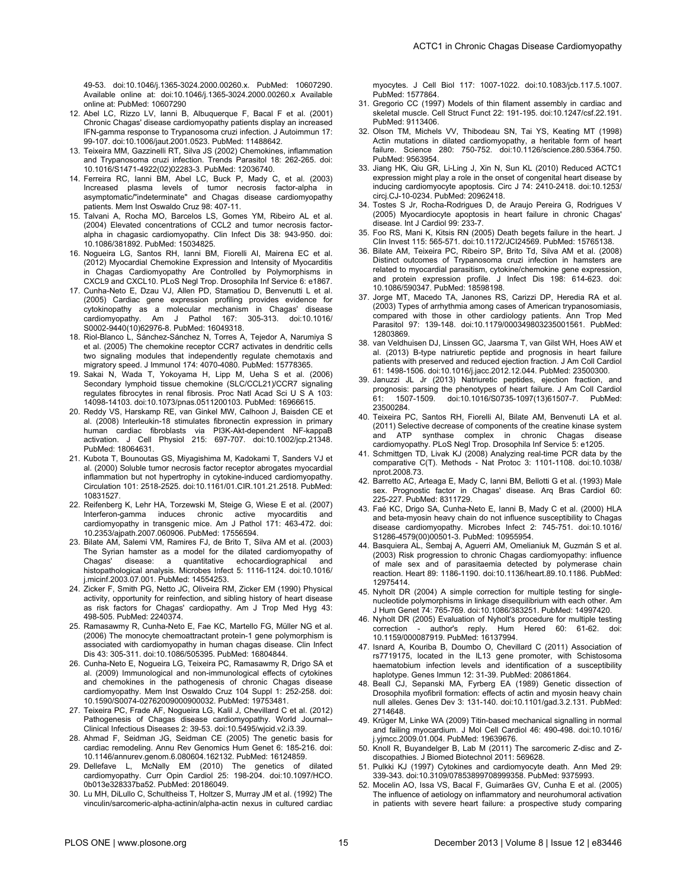- 12. Abel LC, Rizzo LV, Ianni B, Albuquerque F, Bacal F et al. (2001) Chronic Chagas' disease cardiomyopathy patients display an increased IFN-gamma response to Trypanosoma cruzi infection. J Autoimmun 17: 99-107. doi:[10.1006/jaut.2001.0523](http://dx.doi.org/10.1006/jaut.2001.0523). PubMed: [11488642](http://www.ncbi.nlm.nih.gov/pubmed/11488642).
- 13. Teixeira MM, Gazzinelli RT, Silva JS (2002) Chemokines, inflammation and Trypanosoma cruzi infection. Trends Parasitol 18: 262-265. doi: [10.1016/S1471-4922\(02\)02283-3](http://dx.doi.org/10.1016/S1471-4922(02)02283-3). PubMed: [12036740](http://www.ncbi.nlm.nih.gov/pubmed/12036740).
- 14. Ferreira RC, Ianni BM, Abel LC, Buck P, Mady C, et al. (2003) Increased plasma levels of tumor necrosis factor-alpha in asymptomatic/"indeterminate" and Chagas disease cardiomyopathy patients. Mem Inst Oswaldo Cruz 98: 407-11.
- 15. Talvani A, Rocha MO, Barcelos LS, Gomes YM, Ribeiro AL et al. (2004) Elevated concentrations of CCL2 and tumor necrosis factoralpha in chagasic cardiomyopathy. Clin Infect Dis 38: 943-950. doi: [10.1086/381892](http://dx.doi.org/10.1086/381892). PubMed: [15034825](http://www.ncbi.nlm.nih.gov/pubmed/15034825).
- 16. Nogueira LG, Santos RH, Ianni BM, Fiorelli AI, Mairena EC et al. (2012) Myocardial Chemokine Expression and Intensity of Myocarditis in Chagas Cardiomyopathy Are Controlled by Polymorphisms in CXCL9 and CXCL10. PLoS Negl Trop. Drosophila Inf Service 6: e1867.
- 17. Cunha-Neto E, Dzau VJ, Allen PD, Stamatiou D, Benvenutti L et al. (2005) Cardiac gene expression profiling provides evidence for cytokinopathy as a molecular mechanism in Chagas' disease cardiomyopathy. Am J Pathol 167: 305-313. doi[:10.1016/](http://dx.doi.org/10.1016/S0002-9440(10)62976-8) [S0002-9440\(10\)62976-8.](http://dx.doi.org/10.1016/S0002-9440(10)62976-8) PubMed: [16049318.](http://www.ncbi.nlm.nih.gov/pubmed/16049318)
- 18. Riol-Blanco L, Sánchez-Sánchez N, Torres A, Tejedor A, Narumiya S et al. (2005) The chemokine receptor CCR7 activates in dendritic cells two signaling modules that independently regulate chemotaxis and migratory speed. J Immunol 174: 4070-4080. PubMed: [15778365.](http://www.ncbi.nlm.nih.gov/pubmed/15778365)
- 19. Sakai N, Wada T, Yokoyama H, Lipp M, Ueha S et al. (2006) Secondary lymphoid tissue chemokine (SLC/CCL21)/CCR7 signaling regulates fibrocytes in renal fibrosis. Proc Natl Acad Sci U S A 103: 14098-14103. doi[:10.1073/pnas.0511200103](http://dx.doi.org/10.1073/pnas.0511200103). PubMed: [16966615](http://www.ncbi.nlm.nih.gov/pubmed/16966615).
- 20. Reddy VS, Harskamp RE, van Ginkel MW, Calhoon J, Baisden CE et al. (2008) Interleukin-18 stimulates fibronectin expression in primary human cardiac fibroblasts via PI3K-Akt-dependent NF-kappaB activation. J Cell Physiol 215: 697-707. doi:[10.1002/jcp.21348.](http://dx.doi.org/10.1002/jcp.21348) PubMed: [18064631.](http://www.ncbi.nlm.nih.gov/pubmed/18064631)
- 21. Kubota T, Bounoutas GS, Miyagishima M, Kadokami T, Sanders VJ et al. (2000) Soluble tumor necrosis factor receptor abrogates myocardial inflammation but not hypertrophy in cytokine-induced cardiomyopathy. Circulation 101: 2518-2525. doi[:10.1161/01.CIR.101.21.2518](http://dx.doi.org/10.1161/01.CIR.101.21.2518). PubMed: [10831527.](http://www.ncbi.nlm.nih.gov/pubmed/10831527)
- 22. Reifenberg K, Lehr HA, Torzewski M, Steige G, Wiese E et al. (2007) Interferon-gamma induces chronic active myocarditis and cardiomyopathy in transgenic mice. Am J Pathol 171: 463-472. doi: [10.2353/ajpath.2007.060906.](http://dx.doi.org/10.2353/ajpath.2007.060906) PubMed: [17556594.](http://www.ncbi.nlm.nih.gov/pubmed/17556594)
- 23. Bilate AM, Salemi VM, Ramires FJ, de Brito T, Silva AM et al. (2003) The Syrian hamster as a model for the dilated cardiomyopathy of Chagas' disease: a quantitative echocardiographical and histopathological analysis. Microbes Infect 5: 1116-1124. doi[:10.1016/](http://dx.doi.org/10.1016/j.micinf.2003.07.001) [j.micinf.2003.07.001](http://dx.doi.org/10.1016/j.micinf.2003.07.001). PubMed: [14554253](http://www.ncbi.nlm.nih.gov/pubmed/14554253).
- 24. Zicker F, Smith PG, Netto JC, Oliveira RM, Zicker EM (1990) Physical activity, opportunity for reinfection, and sibling history of heart disease as risk factors for Chagas' cardiopathy. Am J Trop Med Hyg 43: 498-505. PubMed: [2240374](http://www.ncbi.nlm.nih.gov/pubmed/2240374).
- 25. Ramasawmy R, Cunha-Neto E, Fae KC, Martello FG, Müller NG et al. (2006) The monocyte chemoattractant protein-1 gene polymorphism is associated with cardiomyopathy in human chagas disease. Clin Infect Dis 43: 305-311. doi[:10.1086/505395.](http://dx.doi.org/10.1086/505395) PubMed: [16804844.](http://www.ncbi.nlm.nih.gov/pubmed/16804844)
- 26. Cunha-Neto E, Nogueira LG, Teixeira PC, Ramasawmy R, Drigo SA et al. (2009) Immunological and non-immunological effects of cytokines and chemokines in the pathogenesis of chronic Chagas disease cardiomyopathy. Mem Inst Oswaldo Cruz 104 Suppl 1: 252-258. doi: [10.1590/S0074-02762009000900032.](http://dx.doi.org/10.1590/S0074-02762009000900032) PubMed: [19753481.](http://www.ncbi.nlm.nih.gov/pubmed/19753481)
- 27. Teixeira PC, Frade AF, Nogueira LG, Kalil J, Chevillard C et al. (2012) Pathogenesis of Chagas disease cardiomyopathy. World Journal-- Clinical Infectious Diseases 2: 39-53. doi:[10.5495/wjcid.v2.i3.39.](http://dx.doi.org/10.5495/wjcid.v2.i3.39)
- 28. Ahmad F, Seidman JG, Seidman CE (2005) The genetic basis for cardiac remodeling. Annu Rev Genomics Hum Genet 6: 185-216. doi: [10.1146/annurev.genom.6.080604.162132.](http://dx.doi.org/10.1146/annurev.genom.6.080604.162132) PubMed: [16124859.](http://www.ncbi.nlm.nih.gov/pubmed/16124859)
- 29. Dellefave L, McNally EM (2010) The genetics of dilated cardiomyopathy. Curr Opin Cardiol 25: 198-204. doi:[10.1097/HCO.](http://dx.doi.org/10.1097/HCO.0b013e328337ba52) [0b013e328337ba52.](http://dx.doi.org/10.1097/HCO.0b013e328337ba52) PubMed: [20186049.](http://www.ncbi.nlm.nih.gov/pubmed/20186049)
- 30. Lu MH, DiLullo C, Schultheiss T, Holtzer S, Murray JM et al. (1992) The vinculin/sarcomeric-alpha-actinin/alpha-actin nexus in cultured cardiac

myocytes. J Cell Biol 117: 1007-1022. doi[:10.1083/jcb.117.5.1007](http://dx.doi.org/10.1083/jcb.117.5.1007). PubMed: [1577864.](http://www.ncbi.nlm.nih.gov/pubmed/1577864)

- 31. Gregorio CC (1997) Models of thin filament assembly in cardiac and skeletal muscle. Cell Struct Funct 22: 191-195. doi:[10.1247/csf.22.191](http://dx.doi.org/10.1247/csf.22.191). PubMed: [9113406.](http://www.ncbi.nlm.nih.gov/pubmed/9113406)
- 32. Olson TM, Michels VV, Thibodeau SN, Tai YS, Keating MT (1998) Actin mutations in dilated cardiomyopathy, a heritable form of heart failure. Science 280: 750-752. doi:[10.1126/science.280.5364.750](http://dx.doi.org/10.1126/science.280.5364.750). PubMed: [9563954.](http://www.ncbi.nlm.nih.gov/pubmed/9563954)
- 33. Jiang HK, Qiu GR, Li-Ling J, Xin N, Sun KL (2010) Reduced ACTC1 expression might play a role in the onset of congenital heart disease by inducing cardiomyocyte apoptosis. Circ J 74: 2410-2418. doi[:10.1253/](http://dx.doi.org/10.1253/circj.CJ-10-0234) [circj.CJ-10-0234](http://dx.doi.org/10.1253/circj.CJ-10-0234). PubMed: [20962418](http://www.ncbi.nlm.nih.gov/pubmed/20962418).
- 34. Tostes S Jr, Rocha-Rodrigues D, de Araujo Pereira G, Rodrigues V (2005) Myocardiocyte apoptosis in heart failure in chronic Chagas' disease. Int J Cardiol 99: 233-7.
- 35. Foo RS, Mani K, Kitsis RN (2005) Death begets failure in the heart. J Clin Invest 115: 565-571. doi:[10.1172/JCI24569.](http://dx.doi.org/10.1172/JCI24569) PubMed: [15765138.](http://www.ncbi.nlm.nih.gov/pubmed/15765138)
- 36. Bilate AM, Teixeira PC, Ribeiro SP, Brito Td, Silva AM et al. (2008) Distinct outcomes of Trypanosoma cruzi infection in hamsters are related to myocardial parasitism, cytokine/chemokine gene expression, and protein expression profile. J Infect Dis 198: 614-623. doi: [10.1086/590347](http://dx.doi.org/10.1086/590347). PubMed: [18598198](http://www.ncbi.nlm.nih.gov/pubmed/18598198).
- 37. Jorge MT, Macedo TA, Janones RS, Carizzi DP, Heredia RA et al. (2003) Types of arrhythmia among cases of American trypanosomiasis, compared with those in other cardiology patients. Ann Trop Med Parasitol 97: 139-148. doi[:10.1179/000349803235001561.](http://dx.doi.org/10.1179/000349803235001561) PubMed: [12803869.](http://www.ncbi.nlm.nih.gov/pubmed/12803869)
- 38. van Veldhuisen DJ, Linssen GC, Jaarsma T, van Gilst WH, Hoes AW et al. (2013) B-type natriuretic peptide and prognosis in heart failure patients with preserved and reduced ejection fraction. J Am Coll Cardiol 61: 1498-1506. doi:[10.1016/j.jacc.2012.12.044.](http://dx.doi.org/10.1016/j.jacc.2012.12.044) PubMed: [23500300.](http://www.ncbi.nlm.nih.gov/pubmed/23500300)
- 39. Januzzi JL Jr (2013) Natriuretic peptides, ejection fraction, and prognosis: parsing the phenotypes of heart failure. J Am Coll Cardiol 61: 1507-1509. doi[:10.1016/S0735-1097\(13\)61507-7.](http://dx.doi.org/10.1016/S0735-1097(13)61507-7) PubMed: [23500284.](http://www.ncbi.nlm.nih.gov/pubmed/23500284)
- 40. Teixeira PC, Santos RH, Fiorelli AI, Bilate AM, Benvenuti LA et al. (2011) Selective decrease of components of the creatine kinase system and ATP synthase complex in chronic Chagas disease cardiomyopathy. PLoS Negl Trop. Drosophila Inf Service 5: e1205.
- 41. Schmittgen TD, Livak KJ (2008) Analyzing real-time PCR data by the comparative C(T). Methods - Nat Protoc 3: 1101-1108. doi[:10.1038/](http://dx.doi.org/10.1038/nprot.2008.73) [nprot.2008.73.](http://dx.doi.org/10.1038/nprot.2008.73)
- 42. Barretto AC, Arteaga E, Mady C, Ianni BM, Bellotti G et al. (1993) Male sex. Prognostic factor in Chagas' disease. Arq Bras Cardiol 60: 225-227. PubMed: [8311729](http://www.ncbi.nlm.nih.gov/pubmed/8311729).
- 43. Faé KC, Drigo SA, Cunha-Neto E, Ianni B, Mady C et al. (2000) HLA and beta-myosin heavy chain do not influence susceptibility to Chagas disease cardiomyopathy. Microbes Infect 2: 745-751. doi[:10.1016/](http://dx.doi.org/10.1016/S1286-4579(00)00501-3) [S1286-4579\(00\)00501-3.](http://dx.doi.org/10.1016/S1286-4579(00)00501-3) PubMed: [10955954.](http://www.ncbi.nlm.nih.gov/pubmed/10955954)
- 44. Basquiera AL, Sembaj A, Aguerri AM, Omelianiuk M, Guzmán S et al. (2003) Risk progression to chronic Chagas cardiomyopathy: influence of male sex and of parasitaemia detected by polymerase chain reaction. Heart 89: 1186-1190. doi:[10.1136/heart.89.10.1186](http://dx.doi.org/10.1136/heart.89.10.1186). PubMed: [12975414.](http://www.ncbi.nlm.nih.gov/pubmed/12975414)
- 45. Nyholt DR (2004) A simple correction for multiple testing for singlenucleotide polymorphisms in linkage disequilibrium with each other. Am J Hum Genet 74: 765-769. doi[:10.1086/383251.](http://dx.doi.org/10.1086/383251) PubMed: [14997420.](http://www.ncbi.nlm.nih.gov/pubmed/14997420)
- 46. Nyholt DR (2005) Evaluation of Nyholt's procedure for multiple testing correction - author's reply. Hum Hered 60: 61-62. doi: [10.1159/000087919.](http://dx.doi.org/10.1159/000087919) PubMed: [16137994.](http://www.ncbi.nlm.nih.gov/pubmed/16137994)
- 47. Isnard A, Kouriba B, Doumbo O, Chevillard C (2011) Association of rs7719175, located in the IL13 gene promoter, with Schistosoma haematobium infection levels and identification of a susceptibility haplotype. Genes Immun 12: 31-39. PubMed: [20861864](http://www.ncbi.nlm.nih.gov/pubmed/20861864).
- 48. Beall CJ, Sepanski MA, Fyrberg EA (1989) Genetic dissection of Drosophila myofibril formation: effects of actin and myosin heavy chain null alleles. Genes Dev 3: 131-140. doi:[10.1101/gad.3.2.131.](http://dx.doi.org/10.1101/gad.3.2.131) PubMed: [2714648.](http://www.ncbi.nlm.nih.gov/pubmed/2714648)
- 49. Krüger M, Linke WA (2009) Titin-based mechanical signalling in normal and failing myocardium. J Mol Cell Cardiol 46: 490-498. doi[:10.1016/](http://dx.doi.org/10.1016/j.yjmcc.2009.01.004) [j.yjmcc.2009.01.004.](http://dx.doi.org/10.1016/j.yjmcc.2009.01.004) PubMed: [19639676.](http://www.ncbi.nlm.nih.gov/pubmed/19639676)
- 50. Knoll R, Buyandelger B, Lab M (2011) The sarcomeric Z-disc and Zdiscopathies. J Biomed Biotechnol 2011: 569628.
- 51. Pulkki KJ (1997) Cytokines and cardiomyocyte death. Ann Med 29: 339-343. doi[:10.3109/07853899708999358.](http://dx.doi.org/10.3109/07853899708999358) PubMed: [9375993.](http://www.ncbi.nlm.nih.gov/pubmed/9375993)
- 52. Mocelin AO, Issa VS, Bacal F, Guimarães GV, Cunha E et al. (2005) The influence of aetiology on inflammatory and neurohumoral activation in patients with severe heart failure: a prospective study comparing